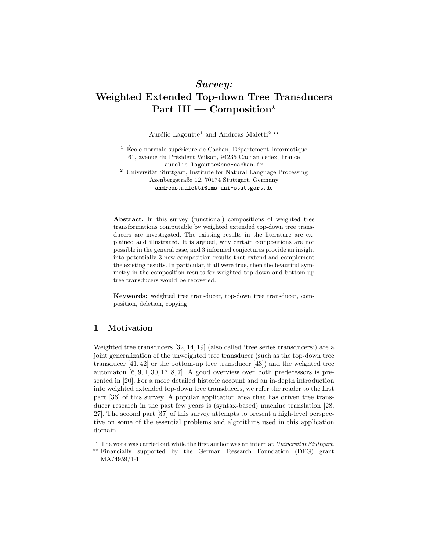# Survey: Weighted Extended Top-down Tree Transducers Part III — Composition\*

Aurélie Lagoutte<sup>1</sup> and Andreas Maletti<sup>2,\*\*</sup>

 $1 \text{ École normale supérieure de Cachan, Département Informatique}$ 61, avenue du Président Wilson, 94235 Cachan cedex, France aurelie.lagoutte@ens-cachan.fr  $^{\rm 2}$ Universität Stuttgart, Institute for Natural Language Processing

Azenbergstraße 12, 70174 Stuttgart, Germany andreas.maletti@ims.uni-stuttgart.de

Abstract. In this survey (functional) compositions of weighted tree transformations computable by weighted extended top-down tree transducers are investigated. The existing results in the literature are explained and illustrated. It is argued, why certain compositions are not possible in the general case, and 3 informed conjectures provide an insight into potentially 3 new composition results that extend and complement the existing results. In particular, if all were true, then the beautiful symmetry in the composition results for weighted top-down and bottom-up tree transducers would be recovered.

Keywords: weighted tree transducer, top-down tree transducer, composition, deletion, copying

# 1 Motivation

Weighted tree transducers [32, 14, 19] (also called 'tree series transducers') are a joint generalization of the unweighted tree transducer (such as the top-down tree transducer [41, 42] or the bottom-up tree transducer [43]) and the weighted tree automaton  $[6, 9, 1, 30, 17, 8, 7]$ . A good overview over both predecessors is presented in [20]. For a more detailed historic account and an in-depth introduction into weighted extended top-down tree transducers, we refer the reader to the first part [36] of this survey. A popular application area that has driven tree transducer research in the past few years is (syntax-based) machine translation [28, 27]. The second part [37] of this survey attempts to present a high-level perspective on some of the essential problems and algorithms used in this application domain.

 $*$  The work was carried out while the first author was an intern at Universität Stuttgart.

<sup>\*\*</sup> Financially supported by the German Research Foundation (DFG) grant MA/4959/1-1.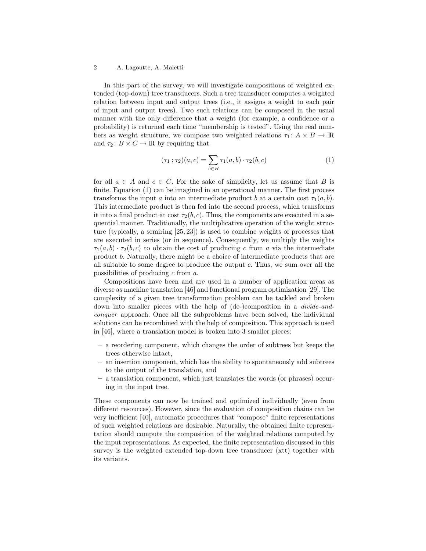In this part of the survey, we will investigate compositions of weighted extended (top-down) tree transducers. Such a tree transducer computes a weighted relation between input and output trees (i.e., it assigns a weight to each pair of input and output trees). Two such relations can be composed in the usual manner with the only difference that a weight (for example, a confidence or a probability) is returned each time "membership is tested". Using the real numbers as weight structure, we compose two weighted relations  $\tau_1: A \times B \to \mathbb{R}$ and  $\tau_2: B \times C \to \mathbb{R}$  by requiring that

$$
(\tau_1;\tau_2)(a,c) = \sum_{b \in B} \tau_1(a,b) \cdot \tau_2(b,c) \tag{1}
$$

for all  $a \in A$  and  $c \in C$ . For the sake of simplicity, let us assume that B is finite. Equation (1) can be imagined in an operational manner. The first process transforms the input a into an intermediate product b at a certain cost  $\tau_1(a, b)$ . This intermediate product is then fed into the second process, which transforms it into a final product at cost  $\tau_2(b, c)$ . Thus, the components are executed in a sequential manner. Traditionally, the multiplicative operation of the weight structure (typically, a semiring [25, 23]) is used to combine weights of processes that are executed in series (or in sequence). Consequently, we multiply the weights  $\tau_1(a, b) \cdot \tau_2(b, c)$  to obtain the cost of producing c from a via the intermediate product b. Naturally, there might be a choice of intermediate products that are all suitable to some degree to produce the output c. Thus, we sum over all the possibilities of producing c from a.

Compositions have been and are used in a number of application areas as diverse as machine translation [46] and functional program optimization [29]. The complexity of a given tree transformation problem can be tackled and broken down into smaller pieces with the help of (de-)composition in a divide-andconquer approach. Once all the subproblems have been solved, the individual solutions can be recombined with the help of composition. This approach is used in [46], where a translation model is broken into 3 smaller pieces:

- a reordering component, which changes the order of subtrees but keeps the trees otherwise intact,
- an insertion component, which has the ability to spontaneously add subtrees to the output of the translation, and
- a translation component, which just translates the words (or phrases) occuring in the input tree.

These components can now be trained and optimized individually (even from different resources). However, since the evaluation of composition chains can be very inefficient [40], automatic procedures that "compose" finite representations of such weighted relations are desirable. Naturally, the obtained finite representation should compute the composition of the weighted relations computed by the input representations. As expected, the finite representation discussed in this survey is the weighted extended top-down tree transducer (xtt) together with its variants.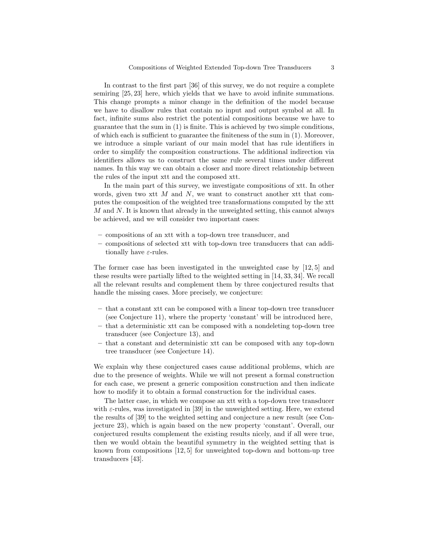In contrast to the first part [36] of this survey, we do not require a complete semiring [25, 23] here, which yields that we have to avoid infinite summations. This change prompts a minor change in the definition of the model because we have to disallow rules that contain no input and output symbol at all. In fact, infinite sums also restrict the potential compositions because we have to guarantee that the sum in (1) is finite. This is achieved by two simple conditions, of which each is sufficient to guarantee the finiteness of the sum in (1). Moreover, we introduce a simple variant of our main model that has rule identifiers in order to simplify the composition constructions. The additional indirection via identifiers allows us to construct the same rule several times under different names. In this way we can obtain a closer and more direct relationship between the rules of the input xtt and the composed xtt.

In the main part of this survey, we investigate compositions of xtt. In other words, given two xtt  $M$  and  $N$ , we want to construct another xtt that computes the composition of the weighted tree transformations computed by the xtt  $M$  and  $N$ . It is known that already in the unweighted setting, this cannot always be achieved, and we will consider two important cases:

- compositions of an xtt with a top-down tree transducer, and
- compositions of selected xtt with top-down tree transducers that can additionally have  $\varepsilon$ -rules.

The former case has been investigated in the unweighted case by [12, 5] and these results were partially lifted to the weighted setting in [14, 33, 34]. We recall all the relevant results and complement them by three conjectured results that handle the missing cases. More precisely, we conjecture:

- that a constant xtt can be composed with a linear top-down tree transducer (see Conjecture 11), where the property 'constant' will be introduced here,
- that a deterministic xtt can be composed with a nondeleting top-down tree transducer (see Conjecture 13), and
- that a constant and deterministic xtt can be composed with any top-down tree transducer (see Conjecture 14).

We explain why these conjectured cases cause additional problems, which are due to the presence of weights. While we will not present a formal construction for each case, we present a generic composition construction and then indicate how to modify it to obtain a formal construction for the individual cases.

The latter case, in which we compose an xtt with a top-down tree transducer with  $\varepsilon$ -rules, was investigated in [39] in the unweighted setting. Here, we extend the results of [39] to the weighted setting and conjecture a new result (see Conjecture 23), which is again based on the new property 'constant'. Overall, our conjectured results complement the existing results nicely, and if all were true, then we would obtain the beautiful symmetry in the weighted setting that is known from compositions [12, 5] for unweighted top-down and bottom-up tree transducers [43].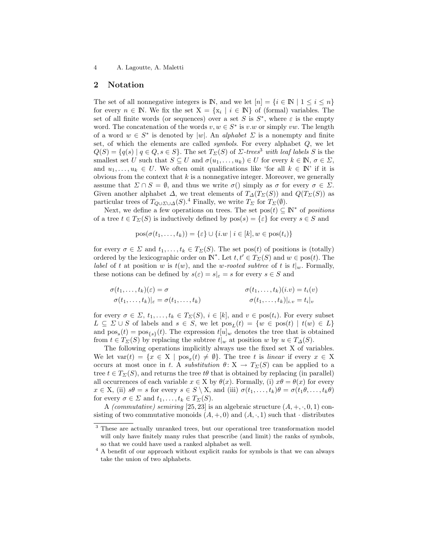# 2 Notation

The set of all nonnegative integers is **IN**, and we let  $[n] = \{i \in \mathbb{N} \mid 1 \leq i \leq n\}$ for every  $n \in \mathbb{N}$ . We fix the set  $X = \{x_i \mid i \in \mathbb{N}\}\$  of (formal) variables. The set of all finite words (or sequences) over a set S is  $S^*$ , where  $\varepsilon$  is the empty word. The concatenation of the words  $v, w \in S^*$  is  $v.w$  or simply  $vw$ . The length of a word  $w \in S^*$  is denoted by |w|. An *alphabet*  $\Sigma$  is a nonempty and finite set, of which the elements are called *symbols*. For every alphabet  $Q$ , we let  $Q(S) = \{q(s) | q \in Q, s \in S\}$ . The set  $T_{\Sigma}(S)$  of  $\Sigma$ -trees<sup>3</sup> with leaf labels S is the smallest set U such that  $S \subseteq U$  and  $\sigma(u_1, \ldots, u_k) \in U$  for every  $k \in \mathbb{N}, \sigma \in \Sigma$ , and  $u_1, \ldots, u_k \in U$ . We often omit qualifications like 'for all  $k \in \mathbb{N}$ ' if it is obvious from the context that  $k$  is a nonnegative integer. Moreover, we generally assume that  $\Sigma \cap S = \emptyset$ , and thus we write  $\sigma()$  simply as  $\sigma$  for every  $\sigma \in \Sigma$ . Given another alphabet  $\Delta$ , we treat elements of  $T_{\Delta}(T_{\Sigma}(S))$  and  $Q(T_{\Sigma}(S))$  as particular trees of  $T_{Q\cup\Sigma\cup\Delta}(S)$ .<sup>4</sup> Finally, we write  $T_{\Sigma}$  for  $T_{\Sigma}(\emptyset)$ .

Next, we define a few operations on trees. The set  $pos(t) \subseteq \mathbb{N}^*$  of positions of a tree  $t \in T_{\Sigma}(S)$  is inductively defined by  $pos(s) = \{\varepsilon\}$  for every  $s \in S$  and

$$
pos(\sigma(t_1, ..., t_k)) = \{\varepsilon\} \cup \{i.w \mid i \in [k], w \in pos(t_i)\}\
$$

for every  $\sigma \in \Sigma$  and  $t_1, \ldots, t_k \in T_{\Sigma}(S)$ . The set pos(t) of positions is (totally) ordered by the lexicographic order on  $\mathbb{N}^*$ . Let  $t, t' \in T_{\Sigma}(S)$  and  $w \in \text{pos}(t)$ . The *label* of t at position w is  $t(w)$ , and the w-rooted subtree of t is  $t|_w$ . Formally, these notions can be defined by  $s(\varepsilon) = s|_{\varepsilon} = s$  for every  $s \in S$  and

$$
\begin{aligned}\n\sigma(t_1,\ldots,t_k)(\varepsilon) &= \sigma & \sigma(t_1,\ldots,t_k)(i.v) &= t_i(v) \\
\sigma(t_1,\ldots,t_k)|_{\varepsilon} &= \sigma(t_1,\ldots,t_k) & \sigma(t_1,\ldots,t_k)|_{i.v} &= t_i|_{v}\n\end{aligned}
$$

for every  $\sigma \in \Sigma$ ,  $t_1, \ldots, t_k \in T_{\Sigma}(S)$ ,  $i \in [k]$ , and  $v \in \text{pos}(t_i)$ . For every subset  $L \subseteq \Sigma \cup S$  of labels and  $s \in S$ , we let  $pos_L(t) = \{w \in pos(t) \mid t(w) \in L\}$ and  $pos_s(t) = pos_{\{s\}}(t)$ . The expression  $t[u]_w$  denotes the tree that is obtained from  $t \in T_{\Sigma}(S)$  by replacing the subtree  $t|_w$  at position w by  $u \in T_{\Delta}(S)$ .

The following operations implicitly always use the fixed set X of variables. We let  $var(t) = \{x \in X \mid pos_x(t) \neq \emptyset\}$ . The tree t is linear if every  $x \in X$ occurs at most once in t. A substitution  $\theta: X \to T_{\Sigma}(S)$  can be applied to a tree  $t \in T_{\Sigma}(S)$ , and returns the tree  $t\theta$  that is obtained by replacing (in parallel) all occurrences of each variable  $x \in X$  by  $\theta(x)$ . Formally, (i)  $x\theta = \theta(x)$  for every  $x \in X$ , (ii)  $s\theta = s$  for every  $s \in S \setminus X$ , and (iii)  $\sigma(t_1, \ldots, t_k)\theta = \sigma(t_1\theta, \ldots, t_k\theta)$ for every  $\sigma \in \Sigma$  and  $t_1, \ldots, t_k \in T_{\Sigma}(S)$ .

A *(commutative) semiring* [25, 23] is an algebraic structure  $(A, +, \cdot, 0, 1)$  consisting of two commutative monoids  $(A, +, 0)$  and  $(A, \cdot, 1)$  such that · distributes

<sup>&</sup>lt;sup>3</sup> These are actually unranked trees, but our operational tree transformation model will only have finitely many rules that prescribe (and limit) the ranks of symbols, so that we could have used a ranked alphabet as well.

 $^4$  A benefit of our approach without explicit ranks for symbols is that we can always take the union of two alphabets.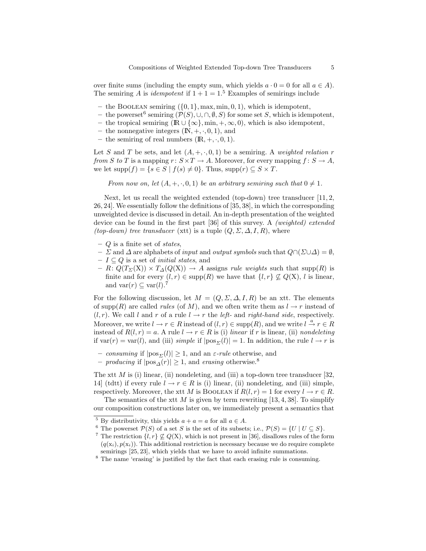over finite sums (including the empty sum, which yields  $a \cdot 0 = 0$  for all  $a \in A$ ). The semiring A is *idempotent* if  $1 + 1 = 1$ <sup>5</sup> Examples of semirings include

- the BOOLEAN semiring  $({0, 1}, \text{max}, \text{min}, 0, 1)$ , which is idempotent,
- the powerset<sup>6</sup> semiring ( $P(S)$ , ∪, ∩,  $\emptyset$ , S) for some set S, which is idempotent,
- the tropical semiring  $(\mathbb{R} \cup {\infty}$ , min,  $+,\infty,0)$ , which is also idempotent,
- the nonnegative integers  $(N, +, \cdot, 0, 1)$ , and
- the semiring of real numbers  $(\mathbb{R}, +, \cdot, 0, 1)$ .

Let S and T be sets, and let  $(A, +, \cdot, 0, 1)$  be a semiring. A weighted relation r from S to T is a mapping  $r: S \times T \to A$ . Moreover, for every mapping  $f: S \to A$ , we let  $supp(f) = \{s \in S \mid f(s) \neq 0\}$ . Thus,  $supp(r) \subseteq S \times T$ .

From now on, let  $(A, +, \cdot, 0, 1)$  be an arbitrary semiring such that  $0 \neq 1$ .

Next, let us recall the weighted extended (top-down) tree transducer [11, 2, 26, 24]. We essentially follow the definitions of [35, 38], in which the corresponding unweighted device is discussed in detail. An in-depth presentation of the weighted device can be found in the first part [36] of this survey. A (weighted) extended (top-down) tree transducer (xtt) is a tuple  $(Q, \Sigma, \Delta, I, R)$ , where

- $Q$  is a finite set of *states*,
- Σ and ∆ are alphabets of input and output symbols such that Q∩(Σ∪∆) = ∅,
- $-I \subseteq Q$  is a set of *initial states*, and
- $R: Q(T_\Sigma(X)) \times T_\Delta(Q(X)) \to A$  assigns *rule weights* such that supp(R) is finite and for every  $(l, r) \in \text{supp}(R)$  we have that  $\{l, r\} \nsubseteq Q(X)$ , l is linear, and var $(r) \subseteq \text{var}(l)$ .<sup>7</sup>

For the following discussion, let  $M = (Q, \Sigma, \Delta, I, R)$  be an xtt. The elements of supp(R) are called *rules* (of M), and we often write them as  $l \rightarrow r$  instead of  $(l, r)$ . We call l and r of a rule  $l \rightarrow r$  the left- and right-hand side, respectively. Moreover, we write  $l \to r \in R$  instead of  $(l, r) \in \text{supp}(R)$ , and we write  $l \stackrel{a}{\to} r \in R$ instead of  $R(l, r) = a$ . A rule  $l \rightarrow r \in R$  is (i) linear if r is linear, (ii) nondeleting if var(r) = var(l), and (iii) simple if  $|pos_{\Sigma}(l)| = 1$ . In addition, the rule  $l \rightarrow r$  is

- consuming if  $|pos_{\Sigma}(l)| \geq 1$ , and an  $\varepsilon$ -rule otherwise, and
- producing if  $|pos_{\Lambda}(r)| \geq 1$ , and erasing otherwise.<sup>8</sup>

The xtt  $M$  is (i) linear, (ii) nondeleting, and (iii) a top-down tree transducer [32, 14] (tdtt) if every rule  $l \to r \in R$  is (i) linear, (ii) nondeleting, and (iii) simple, respectively. Moreover, the xtt M is BOOLEAN if  $R(l, r) = 1$  for every  $l \to r \in R$ .

The semantics of the xtt M is given by term rewriting  $[13, 4, 38]$ . To simplify our composition constructions later on, we immediately present a semantics that

<sup>&</sup>lt;sup>5</sup> By distributivity, this yields  $a + a = a$  for all  $a \in A$ .

<sup>&</sup>lt;sup>6</sup> The powerset  $\mathcal{P}(S)$  of a set S is the set of its subsets; i.e.,  $\mathcal{P}(S) = \{U \mid U \subseteq S\}.$ 

<sup>&</sup>lt;sup>7</sup> The restriction  $\{l, r\} \nsubseteq Q(X)$ , which is not present in [36], disallows rules of the form  $(q(\mathbf{x}_i), p(\mathbf{x}_i))$ . This additional restriction is necessary because we do require complete semirings [25, 23], which yields that we have to avoid infinite summations.

<sup>8</sup> The name 'erasing' is justified by the fact that each erasing rule is consuming.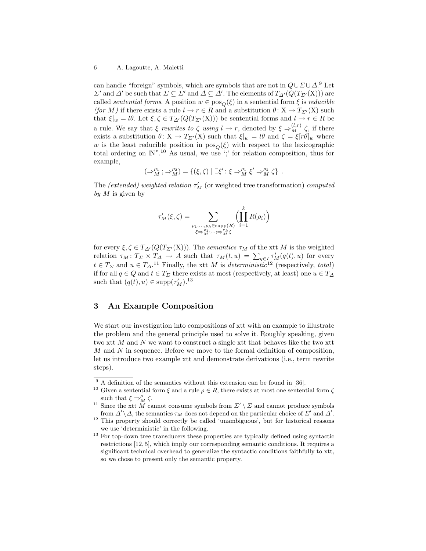can handle "foreign" symbols, which are symbols that are not in  $Q\cup \Sigma \cup \Delta$ .<sup>9</sup> Let  $\Sigma'$  and  $\Delta'$  be such that  $\Sigma \subseteq \Sigma'$  and  $\Delta \subseteq \Delta'$ . The elements of  $T_{\Delta'}(Q(T_{\Sigma'}(X)))$  are called *sentential forms*. A position  $w \in pos_{\Omega}(\xi)$  in a sentential form  $\xi$  is *reducible* (for M) if there exists a rule  $l \to r \in R$  and a substitution  $\theta \colon X \to T_{\Sigma'}(X)$  such that  $\xi|_w = l\theta$ . Let  $\xi, \zeta \in T_{\Delta'}(Q(T_{\Sigma'}(X)))$  be sentential forms and  $l \to r \in R$  be a rule. We say that  $\xi$  rewrites to  $\zeta$  using  $l \to r$ , denoted by  $\xi \Rightarrow_M^{(l,r)} \zeta$ , if there exists a substitution  $\theta: X \to T_{\Sigma'}(X)$  such that  $\xi|_w = l\theta$  and  $\zeta = \xi[r\theta]_w$  where w is the least reducible position in  $pos<sub>O</sub>(\xi)$  with respect to the lexicographic total ordering on  $\mathbb{N}^*$ .<sup>10</sup> As usual, we use ';' for relation composition, thus for example,

$$
(\Rightarrow_M^{\rho_1};\Rightarrow_M^{\rho_2})=\{(\xi,\zeta)\mid\exists\xi':\xi\Rightarrow_M^{\rho_1}\xi'\Rightarrow_M^{\rho_2}\zeta\}\enspace.
$$

The *(extended)* weighted relation  $\tau'_{M}$  (or weighted tree transformation) computed by  $M$  is given by

$$
\tau'_{M}(\xi,\zeta) = \sum_{\substack{\rho_1,\ldots,\rho_k \in \text{supp}(R) \\ \xi \Rightarrow^{\rho_1}_M,\cdots,\varphi_M^N \zeta}} \left(\prod_{i=1}^k R(\rho_i)\right)
$$

for every  $\xi, \zeta \in T_{\Delta}(\mathbb{Q}(T_{\Sigma'}(X)))$ . The semantics  $\tau_M$  of the xtt M is the weighted relation  $\tau_M \colon T_\Sigma \times T_\Delta \to A$  such that  $\tau_M(t, u) = \sum_{q \in I} \tau'_M(q(t), u)$  for every  $t \in T_{\Sigma}$  and  $u \in T_{\Delta}$ .<sup>11</sup> Finally, the xtt M is *deterministic*<sup>12</sup> (respectively, *total*) if for all  $q \in Q$  and  $t \in T_\Sigma$  there exists at most (respectively, at least) one  $u \in T_\Delta$ such that  $(q(t), u) \in \text{supp}(\tau_M')$ .<sup>13</sup>

# 3 An Example Composition

We start our investigation into compositions of xtt with an example to illustrate the problem and the general principle used to solve it. Roughly speaking, given two xtt M and N we want to construct a single xtt that behaves like the two xtt M and N in sequence. Before we move to the formal definition of composition, let us introduce two example xtt and demonstrate derivations (i.e., term rewrite steps).

 $9$  A definition of the semantics without this extension can be found in [36].

<sup>&</sup>lt;sup>10</sup> Given a sentential form  $\xi$  and a rule  $\rho \in R$ , there exists at most one sentential form  $\zeta$ such that  $\xi \Rightarrow_M^{\rho} \zeta$ .

<sup>&</sup>lt;sup>11</sup> Since the xtt M cannot consume symbols from  $\Sigma' \setminus \Sigma$  and cannot produce symbols from  $\Delta' \backslash \Delta$ , the semantics  $\tau_M$  does not depend on the particular choice of  $\Sigma'$  and  $\Delta'$ .

<sup>&</sup>lt;sup>12</sup> This property should correctly be called 'unambiguous', but for historical reasons we use 'deterministic' in the following.

 $^{13}$  For top-down tree transducers these properties are typically defined using syntactic restrictions [12, 5], which imply our corresponding semantic conditions. It requires a significant technical overhead to generalize the syntactic conditions faithfully to xtt, so we chose to present only the semantic property.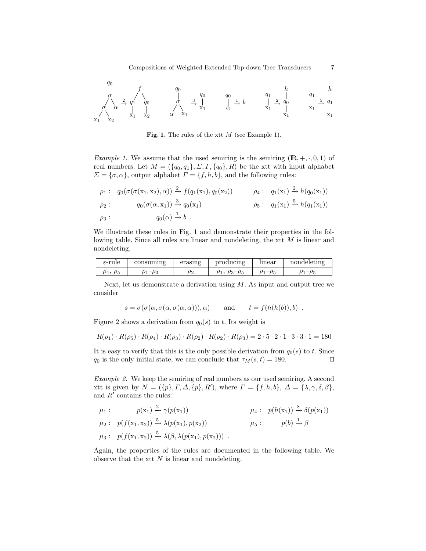q0 σ σ x<sup>1</sup> x<sup>2</sup> α 2→ f q1 x1 q0 x2 q0 σ α x<sup>1</sup> 3→ q0 x1 q0 α <sup>1</sup>→ b q1 x1 2→ h q0 x1 q1 x1 5→ h q1 x1

Fig. 1. The rules of the xtt  $M$  (see Example 1).

*Example 1.* We assume that the used semiring is the semiring  $(\mathbb{R}, +, \cdot, 0, 1)$  of real numbers. Let  $M = (\{q_0, q_1\}, \Sigma, \Gamma, \{q_0\}, R)$  be the xtt with input alphabet  $\Sigma = {\sigma, \alpha}$ , output alphabet  $\Gamma = {f, h, b}$ , and the following rules:

$$
\rho_1: q_0(\sigma(\sigma(x_1, x_2), \alpha)) \xrightarrow{2} f(q_1(x_1), q_0(x_2)) \qquad \rho_4: q_1(x_1) \xrightarrow{2} h(q_0(x_1)) \n\rho_2: q_0(\sigma(\alpha, x_1)) \xrightarrow{3} q_0(x_1) \qquad \rho_5: q_1(x_1) \xrightarrow{5} h(q_1(x_1)) \n\rho_3: q_0(\alpha) \xrightarrow{1} b.
$$

We illustrate these rules in Fig. 1 and demonstrate their properties in the following table. Since all rules are linear and nondeleting, the xtt M is linear and nondeleting.

| $\varepsilon\text{-rule}$ | consuming | erasing  | producing       | linear          | nondeleting |
|---------------------------|-----------|----------|-----------------|-----------------|-------------|
| $\rho_4$ , $\rho_5$       | $-\rho_3$ | $\rho_2$ | $\rho_3-\rho_5$ | $\rho_1-\rho_5$ |             |

Next, let us demonstrate a derivation using  $M$ . As input and output tree we consider

$$
s = \sigma(\sigma(\alpha, \sigma(\alpha, \sigma(\alpha, \alpha))), \alpha)
$$
 and  $t = f(h(h(b)), b)$ .

Figure 2 shows a derivation from  $q_0(s)$  to t. Its weight is

$$
R(\rho_1) \cdot R(\rho_5) \cdot R(\rho_4) \cdot R(\rho_3) \cdot R(\rho_2) \cdot R(\rho_2) \cdot R(\rho_3) = 2 \cdot 5 \cdot 2 \cdot 1 \cdot 3 \cdot 3 \cdot 1 = 180
$$

It is easy to verify that this is the only possible derivation from  $q_0(s)$  to t. Since q<sub>0</sub> is the only initial state, we can conclude that  $\tau_M(s, t) = 180$ .

Example 2. We keep the semiring of real numbers as our used semiring. A second xtt is given by  $N = (\{p\}, \Gamma, \Delta, \{p\}, R')$ , where  $\Gamma = \{f, h, b\}, \Delta = \{\lambda, \gamma, \delta, \beta\},\$ and  $R'$  contains the rules:

$$
\mu_1: \quad p(x_1) \xrightarrow{2} \gamma(p(x_1)) \quad \mu_4: \quad p(h(x_1)) \xrightarrow{8} \delta(p(x_1))
$$
  
\n
$$
\mu_2: \quad p(f(x_1, x_2)) \xrightarrow{5} \lambda(p(x_1), p(x_2)) \quad \mu_5: \quad p(b) \xrightarrow{1} \beta
$$
  
\n
$$
\mu_3: \quad p(f(x_1, x_2)) \xrightarrow{5} \lambda(\beta, \lambda(p(x_1), p(x_2))) \quad .
$$

Again, the properties of the rules are documented in the following table. We observe that the xtt  $N$  is linear and nondeleting.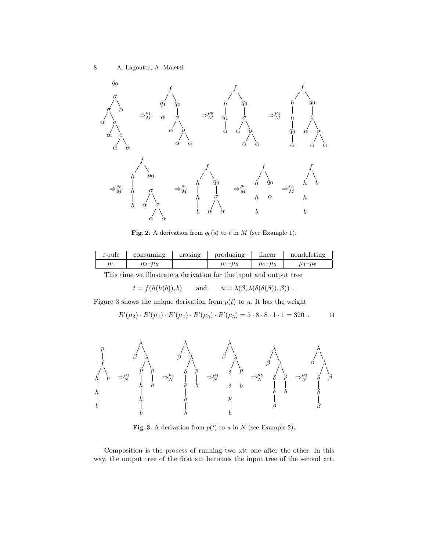

Fig. 2. A derivation from  $q_0(s)$  to t in M (see Example 1).

| $\varepsilon$ -rule | consuming     | erasing | producing       | linear        | nondeleting |
|---------------------|---------------|---------|-----------------|---------------|-------------|
| $\mu$               | $\mu_2-\mu_5$ |         | $\mu_1 - \mu_F$ | $\mu_1-\mu_5$ | μ.          |

This time we illustrate a derivation for the input and output tree

 $t = f(h(h(b)), b)$  and  $u = \lambda(\beta, \lambda(\delta(\delta(\beta)), \beta))$ .

Figure 3 shows the unique derivation from  $p(t)$  to u. It has the weight

$$
R'(\mu_3) \cdot R'(\mu_4) \cdot R'(\mu_4) \cdot R'(\mu_5) \cdot R'(\mu_5) = 5 \cdot 8 \cdot 8 \cdot 1 \cdot 1 = 320 \quad \Box
$$



**Fig. 3.** A derivation from  $p(t)$  to u in N (see Example 2).

Composition is the process of running two xtt one after the other. In this way, the output tree of the first xtt becomes the input tree of the second xtt.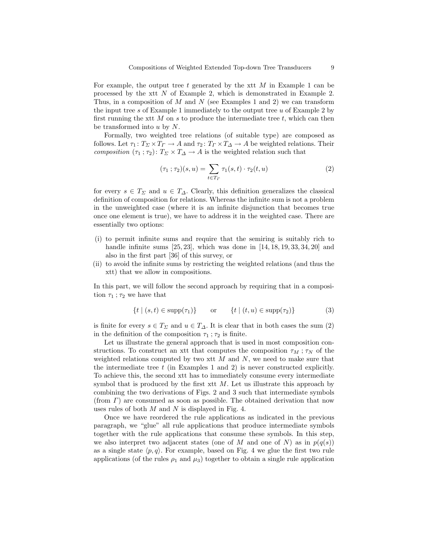For example, the output tree t generated by the xtt  $M$  in Example 1 can be processed by the xtt  $N$  of Example 2, which is demonstrated in Example 2. Thus, in a composition of M and N (see Examples 1 and 2) we can transform the input tree  $s$  of Example 1 immediately to the output tree  $u$  of Example 2 by first running the xtt  $M$  on  $s$  to produce the intermediate tree  $t$ , which can then be transformed into  $u$  by  $N$ .

Formally, two weighted tree relations (of suitable type) are composed as follows. Let  $\tau_1: T_\Sigma \times T_\Gamma \to A$  and  $\tau_2: T_\Gamma \times T_\Delta \to A$  be weighted relations. Their composition  $(\tau_1; \tau_2): T_{\Sigma} \times T_{\Delta} \to A$  is the weighted relation such that

$$
(\tau_1 \,;\, \tau_2)(s, u) = \sum_{t \in T_\Gamma} \tau_1(s, t) \cdot \tau_2(t, u) \tag{2}
$$

for every  $s \in T_\Sigma$  and  $u \in T_\Delta$ . Clearly, this definition generalizes the classical definition of composition for relations. Whereas the infinite sum is not a problem in the unweighted case (where it is an infinite disjunction that becomes true once one element is true), we have to address it in the weighted case. There are essentially two options:

- (i) to permit infinite sums and require that the semiring is suitably rich to handle infinite sums  $[25, 23]$ , which was done in  $[14, 18, 19, 33, 34, 20]$  and also in the first part [36] of this survey, or
- (ii) to avoid the infinite sums by restricting the weighted relations (and thus the xtt) that we allow in compositions.

In this part, we will follow the second approach by requiring that in a composition  $\tau_1$ ;  $\tau_2$  we have that

$$
\{t \mid (s,t) \in \text{supp}(\tau_1)\} \qquad \text{or} \qquad \{t \mid (t,u) \in \text{supp}(\tau_2)\}\tag{3}
$$

is finite for every  $s \in T_{\Sigma}$  and  $u \in T_{\Delta}$ . It is clear that in both cases the sum (2) in the definition of the composition  $\tau_1$ ;  $\tau_2$  is finite.

Let us illustrate the general approach that is used in most composition constructions. To construct an xtt that computes the composition  $\tau_M$ ;  $\tau_N$  of the weighted relations computed by two xtt  $M$  and  $N$ , we need to make sure that the intermediate tree  $t$  (in Examples 1 and 2) is never constructed explicitly. To achieve this, the second xtt has to immediately consume every intermediate symbol that is produced by the first xtt  $M$ . Let us illustrate this approach by combining the two derivations of Figs. 2 and 3 such that intermediate symbols (from  $\Gamma$ ) are consumed as soon as possible. The obtained derivation that now uses rules of both  $M$  and  $N$  is displayed in Fig. 4.

Once we have reordered the rule applications as indicated in the previous paragraph, we "glue" all rule applications that produce intermediate symbols together with the rule applications that consume these symbols. In this step, we also interpret two adjacent states (one of M and one of N) as in  $p(q(s))$ as a single state  $\langle p, q \rangle$ . For example, based on Fig. 4 we glue the first two rule applications (of the rules  $\rho_1$  and  $\mu_3$ ) together to obtain a single rule application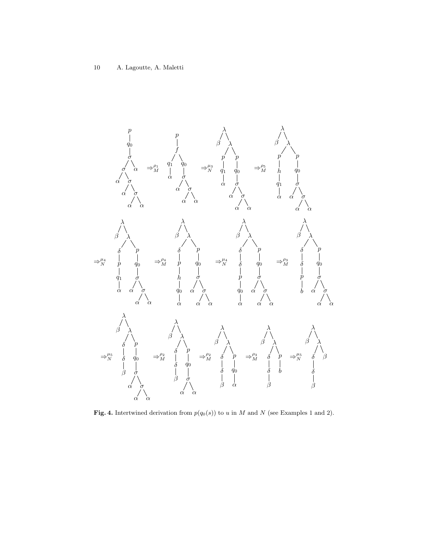

Fig. 4. Intertwined derivation from  $p(q_0(s))$  to u in M and N (see Examples 1 and 2).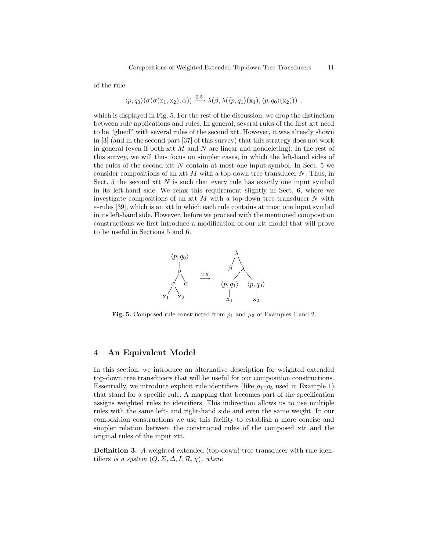of the rule

$$
\langle p,q_0\rangle (\sigma(\sigma(\mathbf{x}_1,\mathbf{x}_2),\alpha)) \xrightarrow{2\cdot 5} \lambda(\beta,\lambda(\langle p,q_1\rangle(\mathbf{x}_1),\langle p,q_0\rangle(\mathbf{x}_2))) ,
$$

which is displayed in Fig. 5. For the rest of the discussion, we drop the distinction between rule applications and rules. In general, several rules of the first xtt need to be "glued" with several rules of the second xtt. However, it was already shown in [3] (and in the second part [37] of this survey) that this strategy does not work in general (even if both xtt  $M$  and  $N$  are linear and nondeleting). In the rest of this survey, we will thus focus on simpler cases, in which the left-hand sides of the rules of the second xtt  $N$  contain at most one input symbol. In Sect. 5 we consider compositions of an xtt  $M$  with a top-down tree transducer  $N$ . Thus, in Sect. 5 the second xtt  $N$  is such that every rule has exactly one input symbol in its left-hand side. We relax this requirement slightly in Sect. 6, where we investigate compositions of an xtt  $M$  with a top-down tree transducer  $N$  with  $\varepsilon$ -rules [39], which is an xtt in which each rule contains at most one input symbol in its left-hand side. However, before we proceed with the mentioned composition constructions we first introduce a modification of our xtt model that will prove to be useful in Sections 5 and 6.



Fig. 5. Composed rule constructed from  $\rho_1$  and  $\mu_3$  of Examples 1 and 2.

# 4 An Equivalent Model

In this section, we introduce an alternative description for weighted extended top-down tree transducers that will be useful for our composition constructions. Essentially, we introduce explicit rule identifiers (like  $\rho_1-\rho_5$  used in Example 1) that stand for a specific rule. A mapping that becomes part of the specification assigns weighted rules to identifiers. This indirection allows us to use multiple rules with the same left- and right-hand side and even the same weight. In our composition constructions we use this facility to establish a more concise and simpler relation between the constructed rules of the composed xtt and the original rules of the input xtt.

Definition 3. A weighted extended (top-down) tree transducer with rule identifiers is a system  $(Q, \Sigma, \Delta, I, \mathcal{R}, \chi)$ , where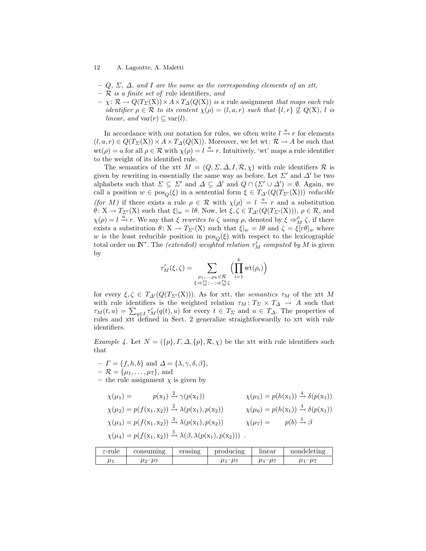- $-Q, \Sigma, \Delta$ , and I are the same as the corresponding elements of an xtt,
- $R$  is a finite set of rule identifiers, and
- $\chi: \mathcal{R} \to Q(T_{\Sigma}(\mathbf{X})) \times A \times T_{\Delta}(Q(\mathbf{X}))$  is a rule assignment that maps each rule identifier  $\rho \in \mathcal{R}$  to its content  $\chi(\rho) = (l, a, r)$  such that  $\{l, r\} \nsubseteq Q(X)$ , l is linear, and var $(r) \subseteq \text{var}(l)$ .

In accordance with our notation for rules, we often write  $l \stackrel{a}{\rightarrow} r$  for elements  $(l, a, r) \in Q(T_\Sigma(X)) \times A \times T_\Delta(Q(X))$ . Moreover, we let wt:  $\mathcal{R} \to A$  be such that  $wt(\rho) = a$  for all  $\rho \in \mathcal{R}$  with  $\chi(\rho) = l \stackrel{a}{\rightarrow} r$ . Intuitively, 'wt' maps a rule identifier to the weight of its identified rule.

The semantics of the xtt  $M = (Q, \Sigma, \Delta, I, \mathcal{R}, \chi)$  with rule identifiers  $\mathcal R$  is given by rewriting in essentially the same way as before. Let  $\Sigma'$  and  $\Delta'$  be two alphabets such that  $\Sigma \subseteq \Sigma'$  and  $\Delta \subseteq \Delta'$  and  $Q \cap (\Sigma' \cup \Delta') = \emptyset$ . Again, we call a position  $w \in pos_{\mathcal{O}}(\xi)$  in a sentential form  $\xi \in T_{\Delta}(\mathcal{Q}(T_{\Sigma'}(X)))$  reducible (for M) if there exists a rule  $\rho \in \mathcal{R}$  with  $\chi(\rho) = l \stackrel{a}{\rightarrow} r$  and a substitution  $\theta: X \to T_{\Sigma'}(X)$  such that  $\xi|_w = l\theta$ . Now, let  $\xi, \zeta \in T_{\Delta'}(Q(T_{\Sigma'}(X))), \rho \in \mathcal{R}$ , and  $\chi(\rho) = l \stackrel{a}{\rightarrow} r$ . We say that  $\xi$  rewrites to  $\zeta$  using  $\rho$ , denoted by  $\xi \Rightarrow_M^{\rho} \zeta$ , if there exists a substitution  $\theta \colon X \to T_{\Sigma'}(X)$  such that  $\xi|_w = l\theta$  and  $\zeta = \xi[r\theta]_w$  where w is the least reducible position in  $pos<sub>O</sub>(\xi)$  with respect to the lexicographic total order on  $\mathbb{N}^*$ . The *(extended)* weighted relation  $\tau'_M$  computed by M is given by

$$
\tau'_M(\xi,\zeta) = \sum_{\substack{\rho_1,\ldots,\rho_k \in \mathcal{R} \\ \xi \Rightarrow^{\rho_1}_M,\cdots,\neq^{\rho_k}_M\zeta}} \left(\prod_{i=1}^k \mathrm{wt}(\rho_i)\right)
$$

for every  $\xi, \zeta \in T_{\Delta}(Q(T_{\Sigma'}(X)))$ . As for xtt, the semantics  $\tau_M$  of the xtt M with rule identifiers is the weighted relation  $\tau_M : T_\Sigma \times T_\Delta \to A$  such that  $\tau_M(t, u) = \sum_{q \in I} \tau'_M(q(t), u)$  for every  $t \in T_\Sigma$  and  $u \in T_\Delta$ . The properties of rules and xtt defined in Sect. 2 generalize straightforwardly to xtt with rule identifiers.

Example 4. Let  $N = (\{p\}, \Gamma, \Delta, \{p\}, \mathcal{R}, \chi)$  be the xtt with rule identifiers such that

 $-I = \{f, h, b\}$  and  $\Delta = \{\lambda, \gamma, \delta, \beta\},\$ 

$$
- \mathcal{R} = {\mu_1, \ldots, \mu_7}, \text{ and}
$$

– the rule assignment  $\chi$  is given by

$$
\chi(\mu_1) = p(x_1) \xrightarrow{2} \gamma(p(x_1)) \qquad \chi(\mu_5) = p(h(x_1)) \xrightarrow{4} \delta(p(x_1))
$$
  
\n
$$
\chi(\mu_2) = p(f(x_1, x_2)) \xrightarrow{2} \lambda(p(x_1), p(x_2)) \qquad \chi(\mu_6) = p(h(x_1)) \xrightarrow{4} \delta(p(x_1))
$$
  
\n
$$
\chi(\mu_3) = p(f(x_1, x_2)) \xrightarrow{3} \lambda(p(x_1), p(x_2)) \qquad \chi(\mu_7) = p(b) \xrightarrow{1} \beta
$$
  
\n
$$
\chi(\mu_4) = p(f(x_1, x_2)) \xrightarrow{5} \lambda(\beta, \lambda(p(x_1), p(x_2))) .
$$

| $\varepsilon$ -rule | consuming     | erasıng | producing     | mear          | nondeleting     |
|---------------------|---------------|---------|---------------|---------------|-----------------|
| $\mu_1$             | $\mu_2-\mu_7$ |         | $\mu_1-\mu_7$ | $\mu_1-\mu_7$ | $\mu_1 - \mu_7$ |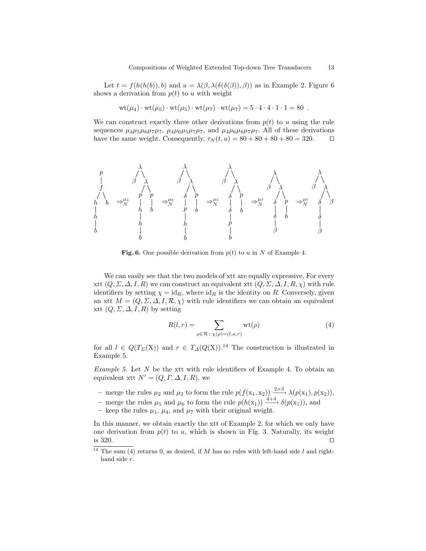Let  $t = f(h(h(b)), b)$  and  $u = \lambda(\beta, \lambda(\delta(\delta(\beta)), \beta))$  as in Example 2. Figure 6 shows a derivation from  $p(t)$  to u with weight

$$
wt(\mu_4)\cdot wt(\mu_5)\cdot wt(\mu_5)\cdot wt(\mu_7)\cdot wt(\mu_7)=5\cdot 4\cdot 4\cdot 1\cdot 1=80.
$$

We can construct exactly three other derivations from  $p(t)$  to u using the rule sequences  $\mu_4\mu_5\mu_6\mu_7\mu_7$ ,  $\mu_4\mu_6\mu_5\mu_7\mu_7$ , and  $\mu_4\mu_6\mu_6\mu_7\mu_7$ . All of these derivations have the same weight. Consequently,  $\tau_N(t, u) = 80 + 80 + 80 + 80 = 320$ .  $\Box$ 

p f h h b b ⇒<sup>µ</sup><sup>4</sup> N λ β λ p h h b p b ⇒<sup>µ</sup><sup>5</sup> N λ β λ δ p h b p b ⇒<sup>µ</sup><sup>5</sup> N λ β λ δ δ p b p b ⇒<sup>µ</sup><sup>7</sup> N λ β λ δ δ β p b ⇒<sup>µ</sup><sup>7</sup> N λ β λ δ δ β β

Fig. 6. One possible derivation from  $p(t)$  to u in N of Example 4.

We can easily see that the two models of xtt are equally expressive. For every xtt  $(Q, \Sigma, \Delta, I, R)$  we can construct an equivalent xtt  $(Q, \Sigma, \Delta, I, R, \chi)$  with rule identifiers by setting  $\chi = id_R$ , where  $id_R$  is the identity on R. Conversely, given an xtt  $M = (Q, \Sigma, \Delta, I, \mathcal{R}, \chi)$  with rule identifiers we can obtain an equivalent xtt  $(Q, \Sigma, \Delta, I, R)$  by setting

$$
R(l,r) = \sum_{\rho \in \mathcal{R} \colon \chi(\rho) = (l,a,r)} \operatorname{wt}(\rho) \tag{4}
$$

for all  $l \in Q(T_\Sigma(X))$  and  $r \in T_\Delta(Q(X))$ .<sup>14</sup> The construction is illustrated in Example 5.

*Example 5.* Let  $N$  be the xtt with rule identifiers of Example 4. To obtain an equivalent xtt  $N' = (Q, \Gamma, \Delta, I, R)$ , we

- merge the rules  $\mu_2$  and  $\mu_3$  to form the rule  $p(f(x_1, x_2)) \xrightarrow{2+3} \lambda(p(x_1), p(x_2)),$
- merge the rules  $\mu_5$  and  $\mu_6$  to form the rule  $p(h(\mathbf{x}_1)) \xrightarrow{4+4} \delta(p(\mathbf{x}_1))$ , and
- keep the rules  $\mu_1$ ,  $\mu_4$ , and  $\mu_7$  with their original weight.

In this manner, we obtain exactly the xtt of Example 2, for which we only have one derivation from  $p(t)$  to u, which is shown in Fig. 3. Naturally, its weight is 320.  $\Box$ 

 $14$  The sum (4) returns 0, as desired, if M has no rules with left-hand side l and righthand side r.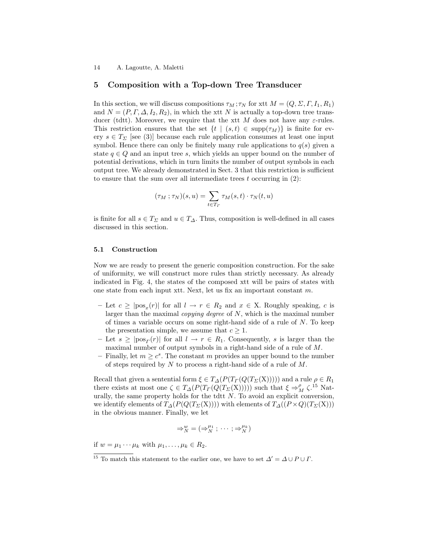# 5 Composition with a Top-down Tree Transducer

In this section, we will discuss compositions  $\tau_M$ ;  $\tau_N$  for xtt  $M = (Q, \Sigma, \Gamma, I_1, R_1)$ and  $N = (P, \Gamma, \Delta, I_2, R_2)$ , in which the xtt N is actually a top-down tree transducer (tdtt). Moreover, we require that the xtt M does not have any  $\varepsilon$ -rules. This restriction ensures that the set  $\{t \mid (s,t) \in \text{supp}(\tau_M)\}\$ is finite for every  $s \in T_{\Sigma}$  [see (3)] because each rule application consumes at least one input symbol. Hence there can only be finitely many rule applications to  $q(s)$  given a state  $q \in Q$  and an input tree s, which yields an upper bound on the number of potential derivations, which in turn limits the number of output symbols in each output tree. We already demonstrated in Sect. 3 that this restriction is sufficient to ensure that the sum over all intermediate trees  $t$  occurring in  $(2)$ :

$$
(\tau_M;\tau_N)(s,u)=\sum_{t\in T_\varGamma} \tau_M(s,t)\cdot \tau_N(t,u)
$$

is finite for all  $s \in T_{\Sigma}$  and  $u \in T_{\Delta}$ . Thus, composition is well-defined in all cases discussed in this section.

#### 5.1 Construction

Now we are ready to present the generic composition construction. For the sake of uniformity, we will construct more rules than strictly necessary. As already indicated in Fig. 4, the states of the composed xtt will be pairs of states with one state from each input xtt. Next, let us fix an important constant m.

- $-$  Let  $c \geq |pos_x(r)|$  for all  $l \to r \in R_2$  and  $x \in X$ . Roughly speaking, c is larger than the maximal *copying degree* of  $N$ , which is the maximal number of times a variable occurs on some right-hand side of a rule of  $N$ . To keep the presentation simple, we assume that  $c \geq 1$ .
- $-$  Let  $s \geq |pos_{\Gamma}(r)|$  for all  $l \to r \in R_1$ . Consequently, s is larger than the maximal number of output symbols in a right-hand side of a rule of M.
- Finally, let  $m \geq c^s$ . The constant m provides an upper bound to the number of steps required by N to process a right-hand side of a rule of M.

Recall that given a sentential form  $\xi \in T_{\Delta}(P(T_{\Gamma}(Q(T_{\Sigma}(X)))))$  and a rule  $\rho \in R_1$ there exists at most one  $\zeta \in T_{\Delta}(P(T_{\Gamma}(Q(T_{\Sigma}(X)))))$  such that  $\xi \Rightarrow_M^{\rho} \zeta$ .<sup>15</sup> Naturally, the same property holds for the tdtt  $N$ . To avoid an explicit conversion, we identify elements of  $T_{\Delta}(P(Q(T_{\Sigma}(X))))$  with elements of  $T_{\Delta}((P \times Q)(T_{\Sigma}(X)))$ in the obvious manner. Finally, we let

$$
\Rightarrow_N^w = (\Rightarrow_N^{\mu_1}; \cdots; \Rightarrow_N^{\mu_k})
$$

if  $w = \mu_1 \cdots \mu_k$  with  $\mu_1, \ldots, \mu_k \in R_2$ .

<sup>&</sup>lt;sup>15</sup> To match this statement to the earlier one, we have to set  $\Delta' = \Delta \cup P \cup \Gamma$ .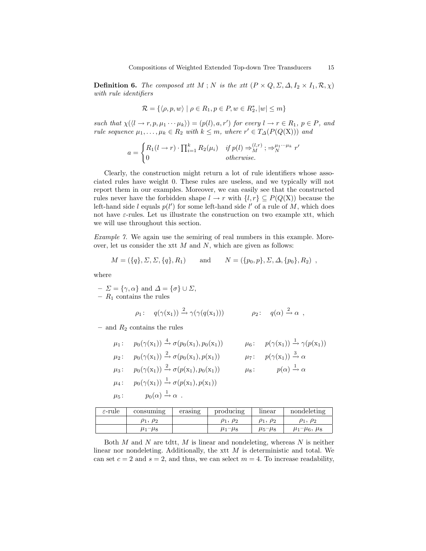**Definition 6.** The composed xtt M; N is the xtt  $(P \times Q, \Sigma, \Delta, I_2 \times I_1, \mathcal{R}, \chi)$ with rule identifiers

$$
\mathcal{R} = \{ \langle \rho, p, w \rangle \mid \rho \in R_1, p \in P, w \in R_2^*, |w| \le m \}
$$

such that  $\chi(\langle l \to r, p, \mu_1 \cdots \mu_k \rangle) = (p(l), a, r')$  for every  $l \to r \in R_1$ ,  $p \in P$ , and rule sequence  $\mu_1, \ldots, \mu_k \in R_2$  with  $k \leq m$ , where  $r' \in T_{\Delta}(P(Q(X)))$  and

$$
a = \begin{cases} R_1(l \to r) \cdot \prod_{i=1}^k R_2(\mu_i) & \text{if } p(l) \Rightarrow_M^{(l,r)}; \Rightarrow_N^{\mu_1 \cdots \mu_k} r' \\ 0 & \text{otherwise.} \end{cases}
$$

Clearly, the construction might return a lot of rule identifiers whose associated rules have weight 0. These rules are useless, and we typically will not report them in our examples. Moreover, we can easily see that the constructed rules never have the forbidden shape  $l \to r$  with  $\{l, r\} \subseteq P(Q(X))$  because the left-hand side l equals  $p(l')$  for some left-hand side l' of a rule of M, which does not have  $\varepsilon$ -rules. Let us illustrate the construction on two example xtt, which we will use throughout this section.

Example 7. We again use the semiring of real numbers in this example. Moreover, let us consider the xtt  $M$  and  $N$ , which are given as follows:

$$
M = (\{q\}, \Sigma, \Sigma, \{q\}, R_1)
$$
 and  $N = (\{p_0, p\}, \Sigma, \Delta, \{p_0\}, R_2)$ ,

where

$$
- \Sigma = \{ \gamma, \alpha \} \text{ and } \Delta = \{ \sigma \} \cup \Sigma,
$$

–  $R_1$  contains the rules

$$
\rho_1: \quad q(\gamma(\mathbf{x}_1)) \xrightarrow{2} \gamma(\gamma(q(\mathbf{x}_1))) \qquad \rho_2: \quad q(\alpha) \xrightarrow{2} \alpha ,
$$

– and  $R_2$  contains the rules

|           | $\mu_1: p_0(\gamma(x_1)) \stackrel{4}{\rightarrow} \sigma(p_0(x_1), p_0(x_1))$                   | $\mu_6: p(\gamma(x_1)) \stackrel{1}{\rightarrow} \gamma(p(x_1))$ |
|-----------|--------------------------------------------------------------------------------------------------|------------------------------------------------------------------|
| $\mu_2$ : | $p_0(\gamma(\mathbf{x}_1)) \stackrel{2}{\rightarrow} \sigma(p_0(\mathbf{x}_1), p(\mathbf{x}_1))$ | $\mu_7: p(\gamma(x_1)) \stackrel{3}{\rightarrow} \alpha$         |
|           | $\mu_3: p_0(\gamma(x_1)) \stackrel{2}{\rightarrow} \sigma(p(x_1), p_0(x_1))$                     | $\mu_8: p(\alpha) \xrightarrow{1} \alpha$                        |
| $\mu_4$ : | $p_0(\gamma(\mathbf{x}_1)) \stackrel{1}{\rightarrow} \sigma(p(\mathbf{x}_1), p(\mathbf{x}_1))$   |                                                                  |
|           | $\mu_5: p_0(\alpha) \stackrel{1}{\rightarrow} \alpha$ .                                          |                                                                  |

| $\varepsilon$ -rule | consuming        | erasing | producing        | linear           | nondeleting            |
|---------------------|------------------|---------|------------------|------------------|------------------------|
|                     | $\rho_1, \rho_2$ |         | $\rho_1, \rho_2$ | $\rho_1, \rho_2$ | $\rho_1, \rho_2$       |
|                     | $\mu_1-\mu_8$    |         | $\mu_1-\mu_8$    | $\mu_5-\mu_8$    | $\mu_1 - \mu_6, \mu_8$ |

Both M and N are tdtt, M is linear and nondeleting, whereas  $N$  is neither linear nor nondeleting. Additionally, the xtt  $M$  is deterministic and total. We can set  $c = 2$  and  $s = 2$ , and thus, we can select  $m = 4$ . To increase readability,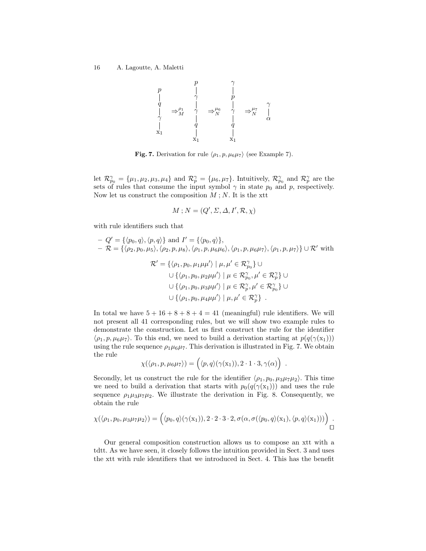$$
\begin{array}{ccccccc}\np & & p & & \gamma \\
\mid & & \gamma & & p \\
q & & \mid & & \gamma \\
\uparrow & & \gamma & & \rightarrow \mu^{\epsilon} & \uparrow & \rightarrow \mu^{\epsilon} \\
\uparrow & & \uparrow & & \uparrow & & \rightarrow \mu^{\epsilon} & \uparrow \\
\uparrow & & & \mid & & \mid & & \downarrow \\
\downarrow & & & q & & q & & \Delta \\
x_1 & & & \mid & & \mid & & \downarrow \\
x_1 & & & & \mid & & x_1 & \end{array}
$$

**Fig. 7.** Derivation for rule  $\langle \rho_1, p, \mu_6 \mu_7 \rangle$  (see Example 7).

let  $\mathcal{R}_{p_0}^{\gamma} = \{\mu_1, \mu_2, \mu_3, \mu_4\}$  and  $\mathcal{R}_{p}^{\gamma} = \{\mu_6, \mu_7\}$ . Intuitively,  $\mathcal{R}_{p_0}^{\gamma}$  and  $\mathcal{R}_{p}^{\gamma}$  are the sets of rules that consume the input symbol  $\gamma$  in state  $p_0$  and p, respectively. Now let us construct the composition  $M$ ;  $N$ . It is the xtt

$$
M; N = (Q', \Sigma, \Delta, I', \mathcal{R}, \chi)
$$

with rule identifiers such that

$$
Q' = \{ \langle p_0, q \rangle, \langle p, q \rangle \} \text{ and } I' = \{ \langle p_0, q \rangle \},
$$
  
\n
$$
-\mathcal{R} = \{ \langle \rho_2, p_0, \mu_5 \rangle, \langle \rho_2, p, \mu_8 \rangle, \langle \rho_1, p, \mu_6 \mu_6 \rangle, \langle \rho_1, p, \mu_6 \mu_7 \rangle, \langle \rho_1, p, \mu_7 \rangle \} \cup \mathcal{R}' \text{ with}
$$
  
\n
$$
\mathcal{R}' = \{ \langle \rho_1, p_0, \mu_1 \mu \mu' \rangle \mid \mu, \mu' \in \mathcal{R}_{p_0}^{\gamma} \} \cup
$$
  
\n
$$
\cup \{ \langle \rho_1, p_0, \mu_2 \mu \mu' \rangle \mid \mu \in \mathcal{R}_{p_0}^{\gamma}, \mu' \in \mathcal{R}_{p_0}^{\gamma} \} \cup
$$
  
\n
$$
\cup \{ \langle \rho_1, p_0, \mu_3 \mu \mu' \rangle \mid \mu \in \mathcal{R}_{p_0}^{\gamma}, \mu' \in \mathcal{R}_{p_0}^{\gamma} \} \cup
$$
  
\n
$$
\cup \{ \langle \rho_1, p_0, \mu_4 \mu \mu' \rangle \mid \mu, \mu' \in \mathcal{R}_{p_0}^{\gamma} \}.
$$

In total we have  $5 + 16 + 8 + 8 + 4 = 41$  (meaningful) rule identifiers. We will not present all 41 corresponding rules, but we will show two example rules to demonstrate the construction. Let us first construct the rule for the identifier  $\langle \rho_1, p, \mu_6\mu_7 \rangle$ . To this end, we need to build a derivation starting at  $p(q(\gamma(x_1)))$ using the rule sequence  $\rho_1\mu_6\mu_7$ . This derivation is illustrated in Fig. 7. We obtain the rule

$$
\chi(\langle \rho_1, p, \mu_6 \mu_7 \rangle) = \Big( \langle p, q \rangle (\gamma(\mathbf{x}_1)), 2 \cdot 1 \cdot 3, \gamma(\alpha) \Big) .
$$

Secondly, let us construct the rule for the identifier  $\langle \rho_1, p_0, \mu_3\mu_7\mu_2 \rangle$ . This time we need to build a derivation that starts with  $p_0(q(\gamma(x_1)))$  and uses the rule sequence  $\rho_1\mu_3\mu_7\mu_2$ . We illustrate the derivation in Fig. 8. Consequently, we obtain the rule

$$
\chi(\langle \rho_1, p_0, \mu_3\mu_7\mu_2 \rangle) = \Big( \langle p_0, q \rangle(\gamma(\mathbf{x}_1)), 2 \cdot 2 \cdot 3 \cdot 2, \sigma(\alpha, \sigma(\langle p_0, q \rangle(\mathbf{x}_1), \langle p, q \rangle(\mathbf{x}_1))) \Big) .
$$

Our general composition construction allows us to compose an xtt with a tdtt. As we have seen, it closely follows the intuition provided in Sect. 3 and uses the xtt with rule identifiers that we introduced in Sect. 4. This has the benefit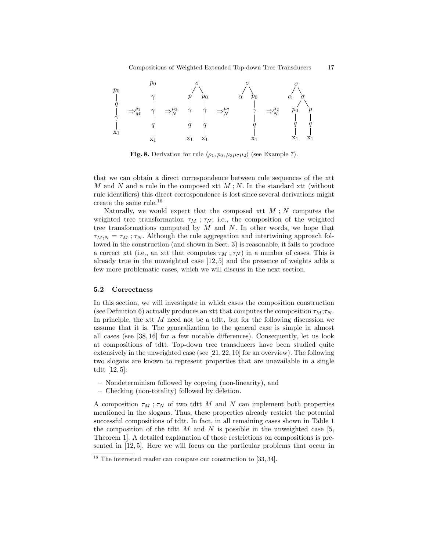

Fig. 8. Derivation for rule  $\langle \rho_1, p_0, \mu_3 \mu_7 \mu_2 \rangle$  (see Example 7).

that we can obtain a direct correspondence between rule sequences of the xtt M and N and a rule in the composed xtt  $M$ ; N. In the standard xtt (without rule identifiers) this direct correspondence is lost since several derivations might create the same rule.<sup>16</sup>

Naturally, we would expect that the composed xtt  $M$ ; N computes the weighted tree transformation  $\tau_M$ ;  $\tau_N$ ; i.e., the composition of the weighted tree transformations computed by  $M$  and  $N$ . In other words, we hope that  $\tau_{M:N} = \tau_M$ ;  $\tau_N$ . Although the rule aggregation and intertwining approach followed in the construction (and shown in Sect. 3) is reasonable, it fails to produce a correct xtt (i.e., an xtt that computes  $\tau_M$ ;  $\tau_N$ ) in a number of cases. This is already true in the unweighted case [12, 5] and the presence of weights adds a few more problematic cases, which we will discuss in the next section.

#### 5.2 Correctness

In this section, we will investigate in which cases the composition construction (see Definition 6) actually produces an xtt that computes the composition  $\tau_M$ ;  $\tau_N$ . In principle, the xtt  $M$  need not be a tdtt, but for the following discussion we assume that it is. The generalization to the general case is simple in almost all cases (see [38, 16] for a few notable differences). Consequently, let us look at compositions of tdtt. Top-down tree transducers have been studied quite extensively in the unweighted case (see  $[21, 22, 10]$  for an overview). The following two slogans are known to represent properties that are unavailable in a single tdtt [12, 5]:

- Nondeterminism followed by copying (non-linearity), and
- Checking (non-totality) followed by deletion.

A composition  $\tau_M$ ;  $\tau_N$  of two tdtt M and N can implement both properties mentioned in the slogans. Thus, these properties already restrict the potential successful compositions of tdtt. In fact, in all remaining cases shown in Table 1 the composition of the tdtt M and N is possible in the unweighted case  $[5,$ Theorem 1]. A detailed explanation of those restrictions on compositions is presented in [12, 5]. Here we will focus on the particular problems that occur in

<sup>&</sup>lt;sup>16</sup> The interested reader can compare our construction to [33, 34].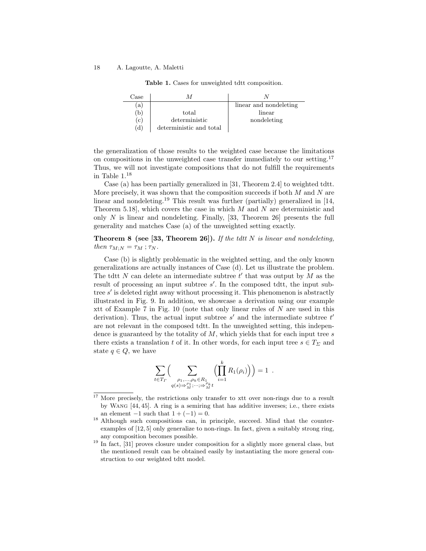Table 1. Cases for unweighted tdtt composition.

| $\textcolor{black}{\text{Case}}$ |                         |                        |
|----------------------------------|-------------------------|------------------------|
| (a)                              |                         | linear and nondeleting |
| (b)                              | total                   | linear                 |
| (c)                              | deterministic           | nondeleting            |
| (d)                              | deterministic and total |                        |

the generalization of those results to the weighted case because the limitations on compositions in the unweighted case transfer immediately to our setting.<sup>17</sup> Thus, we will not investigate compositions that do not fulfill the requirements in Table 1.<sup>18</sup>

Case (a) has been partially generalized in [31, Theorem 2.4] to weighted tdtt. More precisely, it was shown that the composition succeeds if both  $M$  and  $N$  are linear and nondeleting.<sup>19</sup> This result was further (partially) generalized in [14, Theorem 5.18], which covers the case in which  $M$  and  $N$  are deterministic and only  $N$  is linear and nondeleting. Finally, [33, Theorem 26] presents the full generality and matches Case (a) of the unweighted setting exactly.

**Theorem 8 (see [33, Theorem 26]).** If the tdtt N is linear and nondeleting, then  $\tau_{M;N} = \tau_M$ ;  $\tau_N$ .

Case (b) is slightly problematic in the weighted setting, and the only known generalizations are actually instances of Case (d). Let us illustrate the problem. The tdtt  $N$  can delete an intermediate subtree  $t'$  that was output by  $M$  as the result of processing an input subtree  $s'$ . In the composed tdtt, the input subtree s' is deleted right away without processing it. This phenomenon is abstractly illustrated in Fig. 9. In addition, we showcase a derivation using our example xtt of Example 7 in Fig. 10 (note that only linear rules of N are used in this derivation). Thus, the actual input subtree  $s'$  and the intermediate subtree  $t'$ are not relevant in the composed tdtt. In the unweighted setting, this independence is guaranteed by the totality of  $M$ , which yields that for each input tree s there exists a translation t of it. In other words, for each input tree  $s \in T_{\Sigma}$  and state  $q \in Q$ , we have

$$
\sum_{t \in T_{\Gamma}} \Big( \sum_{\substack{\rho_1, \ldots, \rho_k \in R_1 \\ q(s) \Rightarrow M_i^{\rho_1}, \ldots, \varphi_M^{\rho_k} \\ \ldots \\ q_s^{\rho_k}}} \Big( \prod_{i=1}^k R_1(\rho_i) \Big) \Big) = 1 \; .
$$

<sup>&</sup>lt;sup>17</sup> More precisely, the restrictions only transfer to xtt over non-rings due to a result by Wang [44, 45]. A ring is a semiring that has additive inverses; i.e., there exists an element  $-1$  such that  $1 + (-1) = 0$ .

<sup>18</sup> Although such compositions can, in principle, succeed. Mind that the counterexamples of [12, 5] only generalize to non-rings. In fact, given a suitably strong ring, any composition becomes possible.

<sup>&</sup>lt;sup>19</sup> In fact, [31] proves closure under composition for a slightly more general class, but the mentioned result can be obtained easily by instantiating the more general construction to our weighted tdtt model.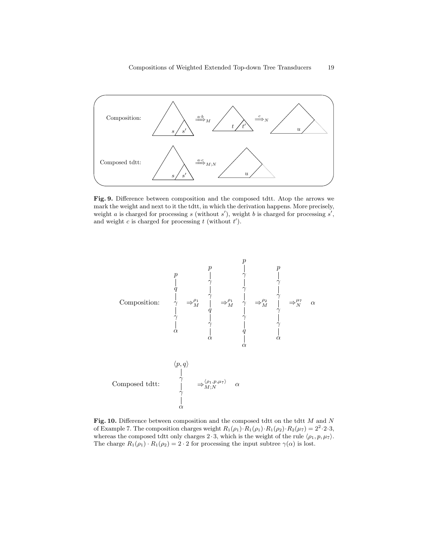

Fig. 9. Difference between composition and the composed tdtt. Atop the arrows we mark the weight and next to it the tdtt, in which the derivation happens. More precisely, weight a is charged for processing s (without  $s'$ ), weight b is charged for processing  $s'$ , and weight  $c$  is charged for processing  $t$  (without  $t'$ ).



Fig. 10. Difference between composition and the composed tdtt on the tdtt  $M$  and  $N$ of Example 7. The composition charges weight  $R_1(\rho_1) \cdot R_1(\rho_1) \cdot R_1(\rho_2) \cdot R_2(\mu_7) = 2^2 \cdot 2 \cdot 3$ , whereas the composed tdtt only charges  $2 \cdot 3$ , which is the weight of the rule  $\langle \rho_1, p, \mu_7 \rangle$ . The charge  $R_1(\rho_1) \cdot R_1(\rho_2) = 2 \cdot 2$  for processing the input subtree  $\gamma(\alpha)$  is lost.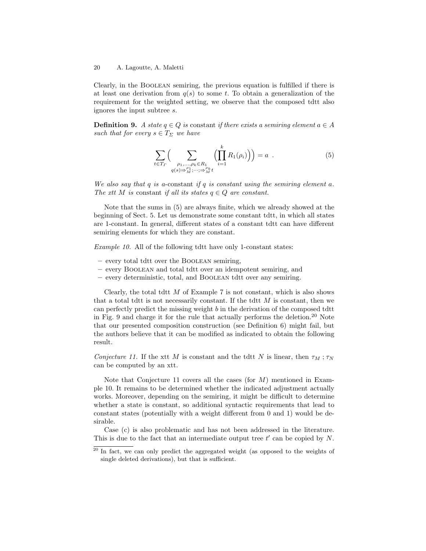Clearly, in the Boolean semiring, the previous equation is fulfilled if there is at least one derivation from  $q(s)$  to some t. To obtain a generalization of the requirement for the weighted setting, we observe that the composed tdtt also ignores the input subtree s.

**Definition 9.** A state  $q \in Q$  is constant if there exists a semiring element  $a \in A$ such that for every  $s \in T_{\Sigma}$  we have

$$
\sum_{t \in T_{\Gamma}} \Big( \sum_{\substack{\rho_1, \ldots, \rho_k \in R_1 \\ q(s) \Rightarrow \rho_1^{\rho_1}; \ldots; \Rightarrow \rho_M^{\rho_k} t}} \Big( \prod_{i=1}^k R_1(\rho_i) \Big) \Big) = a \quad . \tag{5}
$$

We also say that  $q$  is a-constant if  $q$  is constant using the semiring element  $a$ . The xtt M is constant if all its states  $q \in Q$  are constant.

Note that the sums in (5) are always finite, which we already showed at the beginning of Sect. 5. Let us demonstrate some constant tdtt, in which all states are 1-constant. In general, different states of a constant tdtt can have different semiring elements for which they are constant.

Example 10. All of the following tdtt have only 1-constant states:

- every total tdtt over the Boolean semiring,
- every Boolean and total tdtt over an idempotent semiring, and
- every deterministic, total, and Boolean tdtt over any semiring.

Clearly, the total tdtt  $M$  of Example 7 is not constant, which is also shows that a total tdtt is not necessarily constant. If the tdtt  $M$  is constant, then we can perfectly predict the missing weight  $b$  in the derivation of the composed tdtt in Fig. 9 and charge it for the rule that actually performs the deletion.<sup>20</sup> Note that our presented composition construction (see Definition 6) might fail, but the authors believe that it can be modified as indicated to obtain the following result.

Conjecture 11. If the xtt M is constant and the tdtt N is linear, then  $\tau_M$ ;  $\tau_N$ can be computed by an xtt.

Note that Conjecture 11 covers all the cases (for  $M$ ) mentioned in Example 10. It remains to be determined whether the indicated adjustment actually works. Moreover, depending on the semiring, it might be difficult to determine whether a state is constant, so additional syntactic requirements that lead to constant states (potentially with a weight different from 0 and 1) would be desirable.

Case (c) is also problematic and has not been addressed in the literature. This is due to the fact that an intermediate output tree  $t'$  can be copied by  $N$ .

<sup>&</sup>lt;sup>20</sup> In fact, we can only predict the aggregated weight (as opposed to the weights of single deleted derivations), but that is sufficient.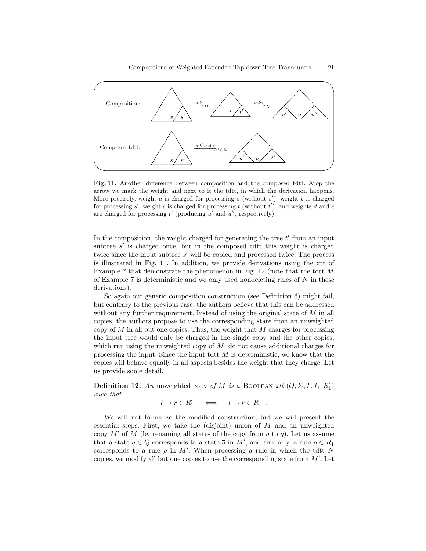

Fig. 11. Another difference between composition and the composed tdtt. Atop the arrow we mark the weight and next to it the tdtt, in which the derivation happens. More precisely, weight  $a$  is charged for processing  $s$  (without  $s'$ ), weight  $b$  is charged for processing  $s'$ , weight c is charged for processing t (without  $t'$ ), and weights d and e are charged for processing  $t'$  (producing  $u'$  and  $u''$ , respectively).

In the composition, the weight charged for generating the tree  $t'$  from an input subtree  $s'$  is charged once, but in the composed tdtt this weight is charged twice since the input subtree  $s'$  will be copied and processed twice. The process is illustrated in Fig. 11. In addition, we provide derivations using the xtt of Example 7 that demonstrate the phenomenon in Fig.  $12$  (note that the tdtt M of Example 7 is deterministic and we only used nondeleting rules of  $N$  in these derivations).

So again our generic composition construction (see Definition 6) might fail, but contrary to the previous case, the authors believe that this can be addressed without any further requirement. Instead of using the original state of M in all copies, the authors propose to use the corresponding state from an unweighted copy of  $M$  in all but one copies. Thus, the weight that  $M$  charges for processing the input tree would only be charged in the single copy and the other copies, which run using the unweighted copy of  $M$ , do not cause additional charges for processing the input. Since the input tdtt  $M$  is deterministic, we know that the copies will behave equally in all aspects besides the weight that they charge. Let us provide some detail.

**Definition 12.** An unweighted copy of M is a BOOLEAN xtt  $(Q, \Sigma, \Gamma, I_1, R_1')$ such that

$$
l \to r \in R'_1 \quad \iff \quad l \to r \in R_1 \ .
$$

We will not formalize the modified construction, but we will present the essential steps. First, we take the (disjoint) union of  $M$  and an unweighted copy M' of M (by renaming all states of the copy from q to  $\bar{q}$ ). Let us assume that a state  $q \in Q$  corresponds to a state  $\overline{q}$  in M', and similarly, a rule  $\rho \in R_1$ corresponds to a rule  $\bar{\rho}$  in M'. When processing a rule in which the tdtt N copies, we modify all but one copies to use the corresponding state from  $M'$ . Let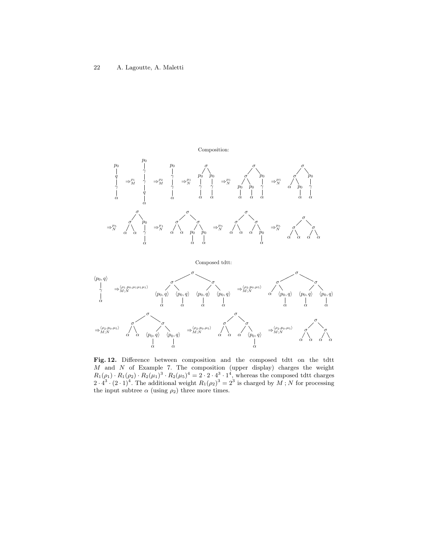#### Composition:





Fig. 12. Difference between composition and the composed tdtt on the tdtt  $M$  and  $N$  of Example 7. The composition (upper display) charges the weight  $R_1(\rho_1) \cdot R_1(\rho_2) \cdot R_2(\mu_1)^3 \cdot R_2(\mu_5)^4 = 2 \cdot 2 \cdot 4^3 \cdot 1^4$ , whereas the composed tdtt charges  $2 \cdot 4^3 \cdot (2 \cdot 1)^4$ . The additional weight  $R_1(\rho_2)^3 = 2^3$  is charged by M; N for processing the input subtree  $\alpha$  (using  $\rho_2$ ) three more times.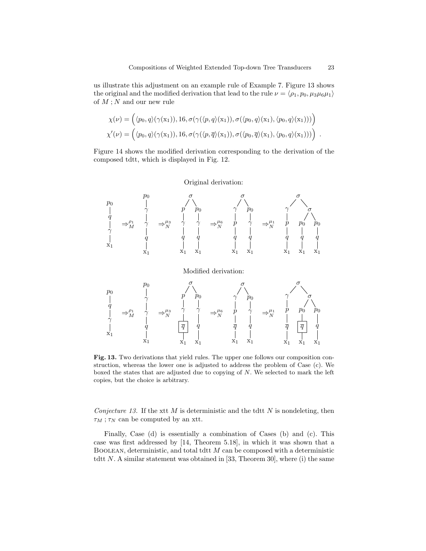us illustrate this adjustment on an example rule of Example 7. Figure 13 shows the original and the modified derivation that lead to the rule  $\nu = \langle \rho_1, p_0, \mu_3 \mu_6 \mu_1 \rangle$ of  $M$ ; N and our new rule

$$
\chi(\nu) = \Big( \langle p_0, q \rangle (\gamma(\mathbf{x}_1)), 16, \sigma(\gamma(\langle p, q \rangle(\mathbf{x}_1)), \sigma(\langle p_0, q \rangle(\mathbf{x}_1), \langle p_0, q \rangle(\mathbf{x}_1))) \Big) \chi'(\nu) = \Big( \langle p_0, q \rangle (\gamma(\mathbf{x}_1)), 16, \sigma(\gamma(\langle p, \overline{q} \rangle(\mathbf{x}_1)), \sigma(\langle p_0, \overline{q} \rangle(\mathbf{x}_1), \langle p_0, q \rangle(\mathbf{x}_1))) \Big) .
$$

Figure 14 shows the modified derivation corresponding to the derivation of the composed tdtt, which is displayed in Fig. 12.

## Original derivation:



#### Modified derivation:



Fig. 13. Two derivations that yield rules. The upper one follows our composition construction, whereas the lower one is adjusted to address the problem of Case (c). We boxed the states that are adjusted due to copying of N. We selected to mark the left copies, but the choice is arbitrary.

Conjecture 13. If the xtt M is deterministic and the tdtt N is nondeleting, then  $\tau_M$ ;  $\tau_N$  can be computed by an xtt.

Finally, Case (d) is essentially a combination of Cases (b) and (c). This case was first addressed by [14, Theorem 5.18], in which it was shown that a BOOLEAN, deterministic, and total tdtt  $M$  can be composed with a deterministic tdtt  $N$ . A similar statement was obtained in [33, Theorem 30], where (i) the same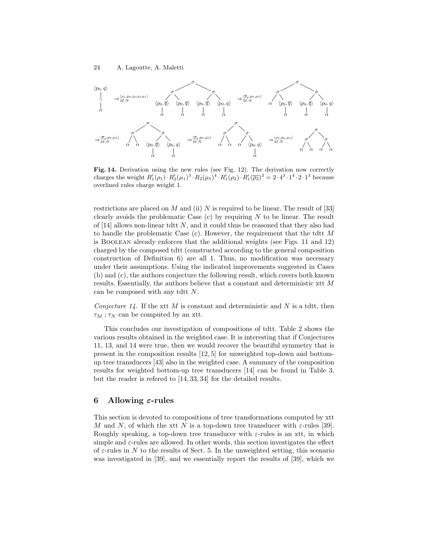

Fig. 14. Derivation using the new rules (see Fig. 12). The derivation now correctly charges the weight  $R'_1(\rho_1) \cdot R'_2(\mu_1)^3 \cdot R_2(\mu_5)^4 \cdot R'_1(\rho_2) \cdot R'_1(\overline{\rho_2})^3 = 2 \cdot 4^3 \cdot 1^4 \cdot 2 \cdot 1^3$  because overlined rules charge weight 1.

restrictions are placed on M and (ii) N is required to be linear. The result of [33] clearly avoids the problematic Case  $(c)$  by requiring  $N$  to be linear. The result of  $[14]$  allows non-linear tdtt N, and it could thus be reasoned that they also had to handle the problematic Case  $(c)$ . However, the requirement that the tdtt M is Boolean already enforces that the additional weights (see Figs. 11 and 12) charged by the composed tdtt (constructed according to the general composition construction of Definition 6) are all 1. Thus, no modification was necessary under their assumptions. Using the indicated improvements suggested in Cases (b) and (c), the authors conjecture the following result, which covers both known results. Essentially, the authors believe that a constant and deterministic xtt M can be composed with any tdtt  $N$ .

Conjecture  $14$ . If the xtt M is constant and deterministic and N is a tdtt, then  $\tau_M$ ;  $\tau_N$  can be computed by an xtt.

This concludes our investigation of compositions of tdtt. Table 2 shows the various results obtained in the weighted case. It is interesting that if Conjectures 11, 13, and 14 were true, then we would recover the beautiful symmetry that is present in the composition results [12, 5] for unweighted top-down and bottomup tree transducers [43] also in the weighted case. A summary of the composition results for weighted bottom-up tree transducers [14] can be found in Table 3, but the reader is refered to [14, 33, 34] for the detailed results.

# 6 Allowing  $\varepsilon$ -rules

This section is devoted to compositions of tree transformations computed by xtt M and N, of which the xtt N is a top-down tree transducer with  $\varepsilon$ -rules [39]. Roughly speaking, a top-down tree transducer with  $\varepsilon$ -rules is an xtt, in which simple and  $\varepsilon$ -rules are allowed. In other words, this section investigates the effect of  $\varepsilon$ -rules in N to the results of Sect. 5. In the unweighted setting, this scenario was investigated in [39], and we essentially report the results of [39], which we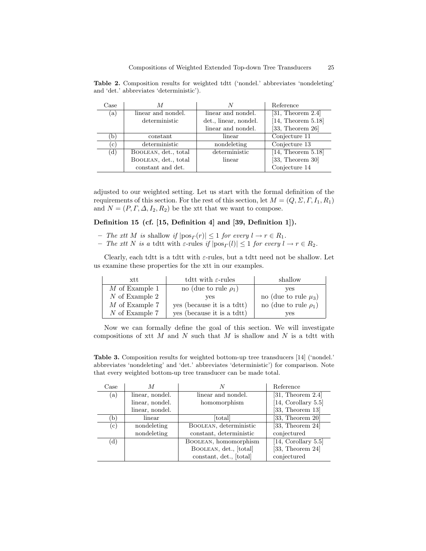$\Gamma$ Case  $M$   $N$  Reference (a)  $\parallel$  linear and nondel.  $\parallel$  linear and nondel.  $\parallel$  [31, Theorem 2.4] deterministic det., linear, nondel. [14, Theorem 5.18] linear and nondel. [33, Theorem 26] (b) constant linear Conjecture 11 (c) deterministic nondeleting Conjecture 13 (d) BOOLEAN, det., total deterministic [14, Theorem 5.18] BOOLEAN, det., total linear [33, Theorem 30] constant and det. <br> Conjecture 14

Table 2. Composition results for weighted tdtt ('nondel.' abbreviates 'nondeleting' and 'det.' abbreviates 'deterministic').

adjusted to our weighted setting. Let us start with the formal definition of the requirements of this section. For the rest of this section, let  $M = (Q, \Sigma, \Gamma, I_1, R_1)$ and  $N = (P, \Gamma, \Delta, I_2, R_2)$  be the xtt that we want to compose.

## Definition 15 (cf. [15, Definition 4] and [39, Definition 1]).

- The xtt M is shallow if  $|pos_{\Gamma}(r)| \leq 1$  for every  $l \to r \in R_1$ .
- The xtt N is a tdtt with  $\varepsilon$ -rules if  $|pos_{\Gamma}(l)| \leq 1$  for every  $l \to r \in R_2$ .

Clearly, each tdtt is a tdtt with  $\varepsilon$ -rules, but a tdtt need not be shallow. Let us examine these properties for the xtt in our examples.

| xtt              | tdtt with $\varepsilon$ -rules | shallow                    |
|------------------|--------------------------------|----------------------------|
| $M$ of Example 1 | no (due to rule $\rho_1$ )     | ves                        |
| $N$ of Example 2 | ves                            | no (due to rule $\mu_3$ )  |
| $M$ of Example 7 | yes (because it is a tdtt)     | no (due to rule $\rho_1$ ) |
| $N$ of Example 7 | yes (because it is a tdtt)     | yes                        |

Now we can formally define the goal of this section. We will investigate compositions of xtt  $M$  and  $N$  such that  $M$  is shallow and  $N$  is a tdtt with

Table 3. Composition results for weighted bottom-up tree transducers [14] ('nondel.' abbreviates 'nondeleting' and 'det.' abbreviates 'deterministic') for comparison. Note that every weighted bottom-up tree transducer can be made total.

| Case |                 |                         | Reference            |
|------|-----------------|-------------------------|----------------------|
| (a)  | linear, nondel. | linear and nondel.      | $[31,$ Theorem 2.4   |
|      | linear, nondel. | homomorphism            | [14, Corollary 5.5]  |
|      | linear, nondel. |                         | $[33,$ Theorem 13    |
| b.   | linear          | $[\text{total}]$        | $[33,$ Theorem $20]$ |
| (c)  | nondeleting     | BOOLEAN, deterministic  | $[33,$ Theorem 24    |
|      | nondeleting     | constant, deterministic | conjectured          |
| (d)  |                 | BOOLEAN, homomorphism   | [14, Corollary 5.5]  |
|      |                 | BOOLEAN, det., [total]  | $[33,$ Theorem 24]   |
|      |                 | constant, det., [total] | conjectured          |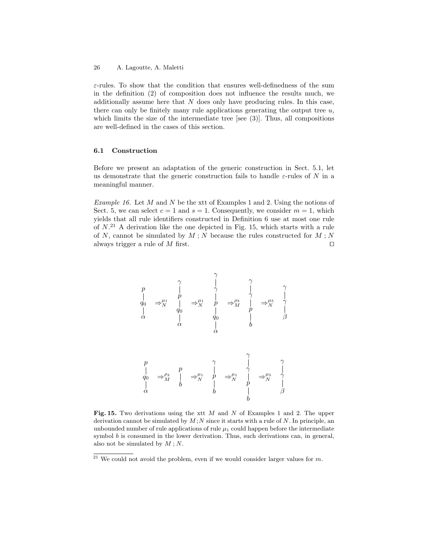$\varepsilon$ -rules. To show that the condition that ensures well-definedness of the sum in the definition (2) of composition does not influence the results much, we additionally assume here that  $N$  does only have producing rules. In this case, there can only be finitely many rule applications generating the output tree  $u$ , which limits the size of the intermediate tree [see (3)]. Thus, all compositions are well-defined in the cases of this section.

## 6.1 Construction

Before we present an adaptation of the generic construction in Sect. 5.1, let us demonstrate that the generic construction fails to handle  $\varepsilon$ -rules of N in a meaningful manner.

Example 16. Let  $M$  and  $N$  be the xtt of Examples 1 and 2. Using the notions of Sect. 5, we can select  $c = 1$  and  $s = 1$ . Consequently, we consider  $m = 1$ , which yields that all rule identifiers constructed in Definition 6 use at most one rule of  $N^{21}$  A derivation like the one depicted in Fig. 15, which starts with a rule of N, cannot be simulated by  $M$ ; N because the rules constructed for  $M$ ; N always trigger a rule of  $M$  first.

p q0 α ⇒µ<sup>1</sup> N γ p q0 α ⇒µ<sup>1</sup> N γ γ p q0 α ⇒ρ<sup>3</sup> M γ γ p b ⇒µ<sup>5</sup> N γ γ β p q0 α ⇒<sup>ρ</sup><sup>3</sup> M p b ⇒<sup>µ</sup><sup>1</sup> N γ p b ⇒<sup>µ</sup><sup>1</sup> N γ γ p b ⇒<sup>µ</sup><sup>5</sup> N γ γ β

Fig. 15. Two derivations using the xtt  $M$  and  $N$  of Examples 1 and 2. The upper derivation cannot be simulated by  $M$ ; N since it starts with a rule of N. In principle, an unbounded number of rule applications of rule  $\mu_1$  could happen before the intermediate symbol  $b$  is consumed in the lower derivation. Thus, such derivations can, in general, also not be simulated by  $M$ ; N.

<sup>&</sup>lt;sup>21</sup> We could not avoid the problem, even if we would consider larger values for  $m$ .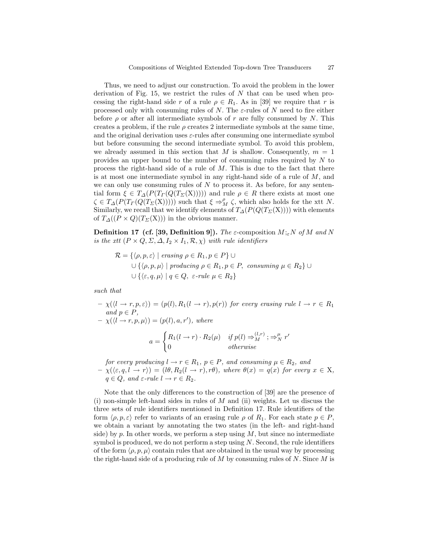Thus, we need to adjust our construction. To avoid the problem in the lower derivation of Fig. 15, we restrict the rules of  $N$  that can be used when processing the right-hand side r of a rule  $\rho \in R_1$ . As in [39] we require that r is processed only with consuming rules of N. The  $\varepsilon$ -rules of N need to fire either before  $\rho$  or after all intermediate symbols of r are fully consumed by N. This creates a problem, if the rule  $\rho$  creates 2 intermediate symbols at the same time, and the original derivation uses  $\varepsilon$ -rules after consuming one intermediate symbol but before consuming the second intermediate symbol. To avoid this problem, we already assumed in this section that M is shallow. Consequently,  $m = 1$ provides an upper bound to the number of consuming rules required by N to process the right-hand side of a rule of  $M$ . This is due to the fact that there is at most one intermediate symbol in any right-hand side of a rule of  $M$ , and we can only use consuming rules of  $N$  to process it. As before, for any sentential form  $\xi \in T_{\Delta}(P(T_{\Gamma}(Q(T_{\Sigma}(X)))))$  and rule  $\rho \in R$  there exists at most one  $\zeta \in T_{\Delta}(P(T_{\Gamma}(Q(T_{\Sigma}(X))))$  such that  $\xi \Rightarrow_M^{\rho} \zeta$ , which also holds for the xtt N. Similarly, we recall that we identify elements of  $T_ \Delta(P(Q(T_\Sigma(X))))$  with elements of  $T_{\Delta}((P \times Q)(T_{\Sigma}(\mathbf{X})))$  in the obvious manner.

**Definition 17 (cf. [39, Definition 9]).** The  $\varepsilon$ -composition  $M;_{\varepsilon}N$  of M and N is the xtt  $(P \times Q, \Sigma, \Delta, I_2 \times I_1, \mathcal{R}, \chi)$  with rule identifiers

$$
\mathcal{R} = \{ \langle \rho, p, \varepsilon \rangle \mid \text{erasing } \rho \in R_1, p \in P \} \cup
$$
\n
$$
\cup \{ \langle \rho, p, \mu \rangle \mid \text{producing } \rho \in R_1, p \in P, \text{ consuming } \mu \in R_2 \} \cup
$$
\n
$$
\cup \{ \langle \varepsilon, q, \mu \rangle \mid q \in Q, \text{ } \varepsilon\text{-rule } \mu \in R_2 \}
$$

such that

 $-\chi(\langle l \to r, p, \varepsilon \rangle) = (p(l), R_1(l \to r), p(r))$  for every erasing rule  $l \to r \in R_1$ and  $p \in P$ ,  $-\chi(\langle l \rightarrow r, p, \mu \rangle) = (p(l), a, r'), where$ 

$$
a = \begin{cases} R_1(l \to r) \cdot R_2(\mu) & \text{if } p(l) \Rightarrow_M^{(l,r)}; \Rightarrow_N^{\mu} r' \\ 0 & \text{otherwise} \end{cases}
$$

for every producing  $l \to r \in R_1$ ,  $p \in P$ , and consuming  $\mu \in R_2$ , and  $-\chi(\langle \varepsilon, q, l \to r \rangle) = (l\theta, R_2(l \to r), r\theta),$  where  $\theta(x) = q(x)$  for every  $x \in X$ ,  $q \in Q$ , and  $\varepsilon$ -rule  $l \to r \in R_2$ .

Note that the only differences to the construction of [39] are the presence of (i) non-simple left-hand sides in rules of  $M$  and (ii) weights. Let us discuss the three sets of rule identifiers mentioned in Definition 17. Rule identifiers of the form  $\langle \rho, p, \varepsilon \rangle$  refer to variants of an erasing rule  $\rho$  of  $R_1$ . For each state  $p \in P$ , we obtain a variant by annotating the two states (in the left- and right-hand side) by  $p$ . In other words, we perform a step using  $M$ , but since no intermediate symbol is produced, we do not perform a step using  $N$ . Second, the rule identifiers of the form  $\langle \rho, p, \mu \rangle$  contain rules that are obtained in the usual way by processing the right-hand side of a producing rule of  $M$  by consuming rules of  $N$ . Since  $M$  is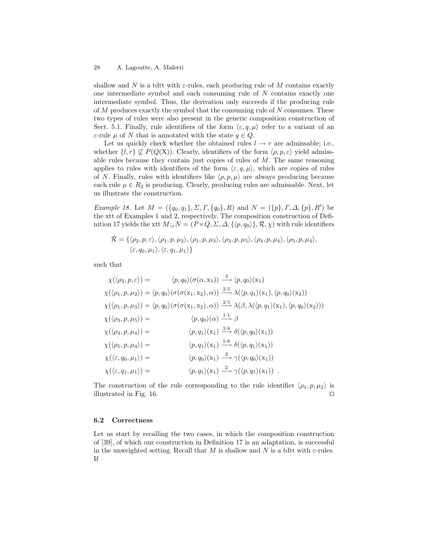shallow and N is a tdtt with  $\varepsilon$ -rules, each producing rule of M contains exactly one intermediate symbol and each consuming rule of N contains exactly one intermediate symbol. Thus, the derivation only succeeds if the producing rule of  $M$  produces exactly the symbol that the consuming rule of  $N$  consumes. These two types of rules were also present in the generic composition construction of Sect. 5.1. Finally, rule identifiers of the form  $\langle \varepsilon, q, \mu \rangle$  refer to a variant of an ε-rule  $\mu$  of N that is annotated with the state  $q \in Q$ .

Let us quickly check whether the obtained rules  $l \rightarrow r$  are admissable; i.e., whether  $\{l, r\} \nsubseteq P(Q(X))$ . Clearly, identifiers of the form  $\langle \rho, p, \varepsilon \rangle$  yield admissable rules because they contain just copies of rules of  $M$ . The same reasoning applies to rules with identifiers of the form  $\langle \varepsilon, q, \mu \rangle$ , which are copies of rules of N. Finally, rules with identifiers like  $\langle \rho, p, \mu \rangle$  are always producing because each rule  $\mu \in R_2$  is producing. Clearly, producing rules are admissable. Next, let us illustrate the construction.

Example 18. Let  $M = (\{q_0, q_1\}, \Sigma, \Gamma, \{q_0\}, R)$  and  $N = (\{p\}, \Gamma, \Delta, \{p\}, R')$  be the xtt of Examples 1 and 2, respectively. The composition construction of Definition 17 yields the xtt  $M;_{\varepsilon}N = (P \times Q, \Sigma, \Delta, \{\langle p, q_0 \rangle\}, \mathcal{R}, \chi)$  with rule identifiers

$$
\mathcal{R} = \{ \langle \rho_2, p, \varepsilon \rangle, \langle \rho_1, p, \mu_2 \rangle, \langle \rho_1, p, \mu_3 \rangle, \langle \rho_3, p, \mu_5 \rangle, \langle \rho_4, p, \mu_4 \rangle, \langle \rho_5, p, \mu_4 \rangle, \\ \langle \varepsilon, q_0, \mu_1 \rangle, \langle \varepsilon, q_1, \mu_1 \rangle \}
$$

such that

$$
\chi(\langle \rho_2, p, \varepsilon \rangle) = \langle p, q_0 \rangle (\sigma(\alpha, x_1)) \xrightarrow{3} \langle p, q_0 \rangle (x_1)
$$
  
\n
$$
\chi(\langle \rho_1, p, \mu_2 \rangle) = \langle p, q_0 \rangle (\sigma(\sigma(x_1, x_2), \alpha)) \xrightarrow{2 \cdot 5} \lambda(\langle p, q_1 \rangle (x_1), \langle p, q_0 \rangle (x_2))
$$
  
\n
$$
\chi(\langle \rho_1, p, \mu_3 \rangle) = \langle p, q_0 \rangle (\sigma(\sigma(x_1, x_2), \alpha)) \xrightarrow{2 \cdot 5} \lambda(\beta, \lambda(\langle p, q_1 \rangle (x_1), \langle p, q_0 \rangle (x_2)))
$$
  
\n
$$
\chi(\langle \rho_3, p, \mu_5 \rangle) = \langle p, q_0 \rangle (\alpha) \xrightarrow{1 \cdot 1} \beta
$$
  
\n
$$
\chi(\langle \rho_4, p, \mu_4 \rangle) = \langle p, q_1 \rangle (x_1) \xrightarrow{2 \cdot 8} \delta(\langle p, q_0 \rangle (x_1))
$$
  
\n
$$
\chi(\langle \rho_5, p, \mu_4 \rangle) = \langle p, q_1 \rangle (x_1) \xrightarrow{5 \cdot 8} \delta(\langle p, q_1 \rangle (x_1))
$$
  
\n
$$
\chi(\langle \varepsilon, q_0, \mu_1 \rangle) = \langle p, q_0 \rangle (x_1) \xrightarrow{2} \gamma(\langle p, q_0 \rangle (x_1))
$$
  
\n
$$
\chi(\langle \varepsilon, q_1, \mu_1 \rangle) = \langle p, q_1 \rangle (x_1) \xrightarrow{2} \gamma(\langle p, q_1 \rangle (x_1)).
$$

The construction of the rule corresponding to the rule identifier  $\langle \rho_1, p, \mu_2 \rangle$  is illustrated in Fig. 16.  $\Box$ 

## 6.2 Correctness

Let us start by recalling the two cases, in which the composition construction of [39], of which our construction in Definition 17 is an adaptation, is successful in the unweighted setting. Recall that M is shallow and N is a tdtt with  $\varepsilon$ -rules. If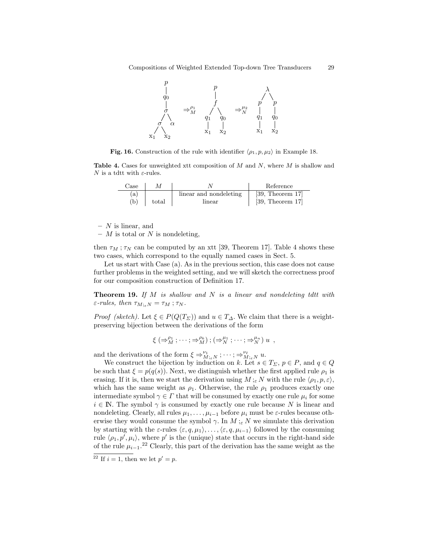

Fig. 16. Construction of the rule with identifier  $\langle \rho_1, p, \mu_2 \rangle$  in Example 18.

**Table 4.** Cases for unweighted xtt composition of  $M$  and  $N$ , where  $M$  is shallow and N is a tdtt with  $\varepsilon$ -rules.

| Case |       |                        | Reference         |
|------|-------|------------------------|-------------------|
| a)   |       | linear and nondeleting | $[39,$ Theorem 17 |
| (b)  | total | linear                 | $[39,$ Theorem 17 |

 $- N$  is linear, and

 $-$  *M* is total or *N* is nondeleting,

then  $\tau_M$ ;  $\tau_N$  can be computed by an xtt [39, Theorem 17]. Table 4 shows these two cases, which correspond to the equally named cases in Sect. 5.

Let us start with Case (a). As in the previous section, this case does not cause further problems in the weighted setting, and we will sketch the correctness proof for our composition construction of Definition 17.

**Theorem 19.** If  $M$  is shallow and  $N$  is a linear and nondeleting tdtt with  $\varepsilon$ -rules, then  $\tau_{M:_{\varepsilon}N} = \tau_M$ ;  $\tau_N$ .

*Proof (sketch)*. Let  $\xi \in P(Q(T_{\Sigma}))$  and  $u \in T_{\Delta}$ . We claim that there is a weightpreserving bijection between the derivations of the form

$$
\xi\left(\Rightarrow_M^{\rho_1};\cdots;\Rightarrow_M^{\rho_k}\right);\left(\Rightarrow_N^{\mu_1};\cdots;\Rightarrow_N^{\mu_n}\right)u\ ,
$$

and the derivations of the form  $\xi \Rightarrow_{M;\varepsilon N}^{\nu_1}; \cdots; \Rightarrow_{M;\varepsilon N}^{\nu_\ell} u$ .

We construct the bijection by induction on k. Let  $s \in T_{\Sigma}$ ,  $p \in P$ , and  $q \in Q$ be such that  $\xi = p(q(s))$ . Next, we distinguish whether the first applied rule  $\rho_1$  is erasing. If it is, then we start the derivation using  $M;_{\varepsilon} N$  with the rule  $\langle \rho_1, p, \varepsilon \rangle$ , which has the same weight as  $\rho_1$ . Otherwise, the rule  $\rho_1$  produces exactly one intermediate symbol  $\gamma \in \Gamma$  that will be consumed by exactly one rule  $\mu_i$  for some  $i \in \mathbb{N}$ . The symbol  $\gamma$  is consumed by exactly one rule because N is linear and nondeleting. Clearly, all rules  $\mu_1, \ldots, \mu_{i-1}$  before  $\mu_i$  must be  $\varepsilon$ -rules because otherwise they would consume the symbol  $\gamma$ . In  $M$ ; N we simulate this derivation by starting with the  $\varepsilon$ -rules  $\langle \varepsilon, q, \mu_1 \rangle, \ldots, \langle \varepsilon, q, \mu_{i-1} \rangle$  followed by the consuming rule  $\langle \rho_1, p', \mu_i \rangle$ , where p' is the (unique) state that occurs in the right-hand side of the rule  $\mu_{i-1}$ .<sup>22</sup> Clearly, this part of the derivation has the same weight as the

<sup>&</sup>lt;sup>22</sup> If  $i = 1$ , then we let  $p' = p$ .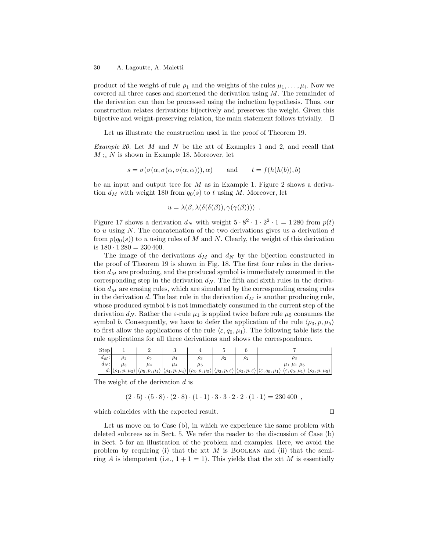product of the weight of rule  $\rho_1$  and the weights of the rules  $\mu_1, \ldots, \mu_i$ . Now we covered all three cases and shortened the derivation using M. The remainder of the derivation can then be processed using the induction hypothesis. Thus, our construction relates derivations bijectively and preserves the weight. Given this bijective and weight-preserving relation, the main statement follows trivially.  $\square$ 

Let us illustrate the construction used in the proof of Theorem 19.

Example 20. Let M and N be the xtt of Examples 1 and 2, and recall that  $M:_{\varepsilon} N$  is shown in Example 18. Moreover, let

$$
s = \sigma(\sigma(\alpha, \sigma(\alpha, \sigma(\alpha, \alpha))), \alpha) \quad \text{and} \quad t = f(h(h(b)), b)
$$

be an input and output tree for  $M$  as in Example 1. Figure 2 shows a derivation  $d_M$  with weight 180 from  $q_0(s)$  to t using M. Moreover, let

$$
u = \lambda(\beta, \lambda(\delta(\delta(\beta)), \gamma(\gamma(\beta)))) .
$$

Figure 17 shows a derivation  $d_N$  with weight  $5 \cdot 8^2 \cdot 1 \cdot 2^2 \cdot 1 = 1280$  from  $p(t)$ to u using  $N$ . The concatenation of the two derivations gives us a derivation  $d$ from  $p(q_0(s))$  to u using rules of M and N. Clearly, the weight of this derivation is  $180 \cdot 1280 = 230400$ .

The image of the derivations  $d_M$  and  $d_N$  by the bijection constructed in the proof of Theorem 19 is shown in Fig. 18. The first four rules in the derivation  $d_M$  are producing, and the produced symbol is immediately consumed in the corresponding step in the derivation  $d_N$ . The fifth and sixth rules in the derivation  $d_M$  are erasing rules, which are simulated by the corresponding erasing rules in the derivation d. The last rule in the derivation  $d_M$  is another producing rule, whose produced symbol  $b$  is not immediately consumed in the current step of the derivation  $d_N$ . Rather the  $\varepsilon$ -rule  $\mu_1$  is applied twice before rule  $\mu_5$  consumes the symbol b. Consequently, we have to defer the application of the rule  $\langle \rho_3, p, \mu_5 \rangle$ to first allow the applications of the rule  $\langle \varepsilon, q_0, \mu_1 \rangle$ . The following table lists the rule applications for all three derivations and shows the correspondence.

| <b>Step</b> |                                      |          |          |                                                                                                                                                                                                                                                                                                                |          |                                                                                 |
|-------------|--------------------------------------|----------|----------|----------------------------------------------------------------------------------------------------------------------------------------------------------------------------------------------------------------------------------------------------------------------------------------------------------------|----------|---------------------------------------------------------------------------------|
| $d_M$ :     |                                      | $\rho_5$ | $\rho_4$ | $\rho_3$                                                                                                                                                                                                                                                                                                       | $\rho_2$ |                                                                                 |
| $d_N$ :     | $\mu_3$                              | $u_4$    | $\mu_4$  | μ5                                                                                                                                                                                                                                                                                                             |          | $\mu_1$ $\mu_1$ $\mu_5$                                                         |
| d:          | $ \langle \rho_1, p, \mu_3 \rangle $ |          |          | $\left \left\langle \rho_5,p,\mu_4\right\rangle\right \left\langle \rho_4,p,\mu_4\right\rangle\right \left\langle \rho_3,p,\mu_5\right\rangle\left \left\langle \rho_2,p,\varepsilon\right\rangle\right \left\langle \rho_2,p,\varepsilon\right\rangle\right \left\langle \varepsilon,q_0,\mu_1\right\rangle.$ |          | $\langle \varepsilon, q_0, \mu_1 \rangle$<br>$\langle \rho_3, p, \mu_5 \rangle$ |

The weight of the derivation  $d$  is

$$
(2 \cdot 5) \cdot (5 \cdot 8) \cdot (2 \cdot 8) \cdot (1 \cdot 1) \cdot 3 \cdot 3 \cdot 2 \cdot 2 \cdot (1 \cdot 1) = 230400,
$$

which coincides with the expected result.  $\Box$ 

Let us move on to Case (b), in which we experience the same problem with deleted subtrees as in Sect. 5. We refer the reader to the discussion of Case (b) in Sect. 5 for an illustration of the problem and examples. Here, we avoid the problem by requiring (i) that the xtt  $M$  is BOOLEAN and (ii) that the semiring A is idempotent (i.e.,  $1 + 1 = 1$ ). This yields that the xtt M is essentially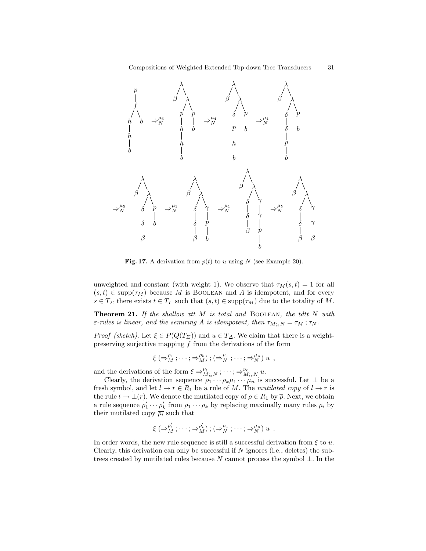

Fig. 17. A derivation from  $p(t)$  to u using N (see Example 20).

unweighted and constant (with weight 1). We observe that  $\tau_M(s, t) = 1$  for all  $(s, t) \in \text{supp}(\tau_M)$  because M is BOOLEAN and A is idempotent, and for every  $s \in T_{\Sigma}$  there exists  $t \in T_{\Gamma}$  such that  $(s, t) \in \text{supp}(\tau_M)$  due to the totality of M.

**Theorem 21.** If the shallow xtt  $M$  is total and BOOLEAN, the tdtt  $N$  with  $\varepsilon$ -rules is linear, and the semiring A is idempotent, then  $\tau_{M; \varepsilon N} = \tau_M$ ;  $\tau_N$ .

*Proof (sketch)*. Let  $\xi \in P(Q(T_{\Sigma}))$  and  $u \in T_{\Delta}$ . We claim that there is a weightpreserving surjective mapping  $f$  from the derivations of the form

$$
\xi\left(\Rightarrow_M^{\rho_1};\cdots;\Rightarrow_M^{\rho_k}\right);\left(\Rightarrow_N^{\mu_1};\cdots;\Rightarrow_N^{\mu_n}\right)u\ ,
$$

and the derivations of the form  $\xi \Rightarrow_{M;\varepsilon N}^{\nu_1}; \cdots; \Rightarrow_{M;\varepsilon N}^{\nu_\ell} u$ .

Clearly, the derivation sequence  $\rho_1 \cdots \rho_k \mu_1 \cdots \mu_n$  is successful. Let  $\perp$  be a fresh symbol, and let  $l \to r \in R_1$  be a rule of M. The mutilated copy of  $l \to r$  is the rule  $l \to \perp(r)$ . We denote the mutilated copy of  $\rho \in R_1$  by  $\overline{\rho}$ . Next, we obtain a rule sequence  $\rho'_1 \cdots \rho'_k$  from  $\rho_1 \cdots \rho_k$  by replacing maximally many rules  $\rho_i$  by their mutilated copy  $\overline{\rho_i}$  such that

$$
\xi\left(\Rightarrow_M^{\rho'_1};\cdots;\Rightarrow_M^{\rho'_k}\right);\left(\Rightarrow_N^{\mu_1};\cdots;\Rightarrow_N^{\mu_n}\right)u\enspace.
$$

In order words, the new rule sequence is still a successful derivation from  $\xi$  to u. Clearly, this derivation can only be successful if  $N$  ignores (i.e., deletes) the subtrees created by mutilated rules because N cannot process the symbol  $\bot$ . In the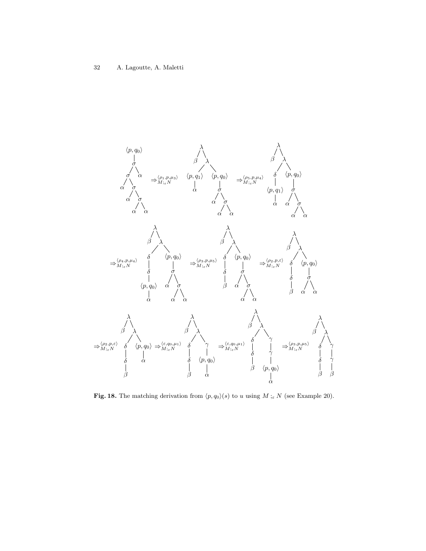

Fig. 18. The matching derivation from  $\langle p, q_0 \rangle$  (s) to u using M ;<sub>ε</sub> N (see Example 20).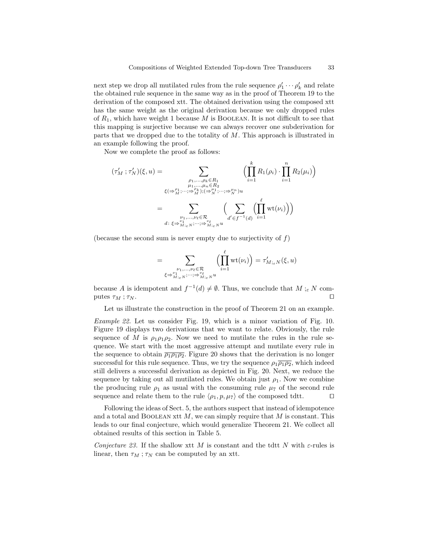next step we drop all mutilated rules from the rule sequence  $\rho'_1 \cdots \rho'_k$  and relate the obtained rule sequence in the same way as in the proof of Theorem 19 to the derivation of the composed xtt. The obtained derivation using the composed xtt has the same weight as the original derivation because we only dropped rules of  $R_1$ , which have weight 1 because M is BOOLEAN. It is not difficult to see that this mapping is surjective because we can always recover one subderivation for parts that we dropped due to the totality of M. This approach is illustrated in an example following the proof.

Now we complete the proof as follows:

$$
(\tau'_{M}; \tau'_{N})(\xi, u) = \sum_{\substack{\rho_1, \ldots, \rho_k \in R_1 \\ \mu_1, \ldots, \mu_n \in R_2 \\ \xi(\Rightarrow^{\rho_1}_{M}; \ldots; \Rightarrow^{\rho_k}_{M}); (\Rightarrow^{\mu_1}_{N}; \ldots; \Rightarrow^{\mu_n}_{N}) u}} \left( \prod_{i=1}^{k} R_1(\rho_i) \cdot \prod_{i=1}^{n} R_2(\mu_i) \right)
$$

$$
= \sum_{\substack{\nu_1, \ldots, \nu_\ell \in \mathcal{R} \\ \nu_1, \ldots, \nu_\ell \in \mathcal{R} \\ d \colon \xi \Rightarrow^{\nu_i}_{M;_{\varepsilon} N}; \ldots; \Rightarrow^{\nu_\ell}_{M;_{\varepsilon} N} u}} \left( \sum_{d' \in f^{-1}(d)} \left( \prod_{i=1}^{\ell} \mathrm{wt}(\nu_i) \right) \right)
$$

(because the second sum is never empty due to surjectivity of  $f$ )

$$
=\sum_{\substack{\nu_1,\ldots,\nu_\ell\in\mathcal{R}\\ \xi\Rightarrow_{M_{i\in N}}^{\nu_1,\ldots,\nu_\ell}\cdots\Rightarrow_{M_{i\in N}}^{\nu_\ell}u}}\left(\prod_{i=1}^\ell\mathrm{wt}(\nu_i)\right)=\tau'_{M_{i\in N}}(\xi,u)
$$

because A is idempotent and  $f^{-1}(d) \neq \emptyset$ . Thus, we conclude that  $M :_{\varepsilon} N$  computes  $\tau_M$ ;  $\tau_N$ .

Let us illustrate the construction in the proof of Theorem 21 on an example.

Example 22. Let us consider Fig. 19, which is a minor variation of Fig. 10. Figure 19 displays two derivations that we want to relate. Obviously, the rule sequence of M is  $\rho_1 \rho_1 \rho_2$ . Now we need to mutilate the rules in the rule sequence. We start with the most aggressive attempt and mutilate every rule in the sequence to obtain  $\overline{\rho_1 \rho_1 \rho_2}$ . Figure 20 shows that the derivation is no longer successful for this rule sequence. Thus, we try the sequence  $\rho_1 \overline{\rho_1 \rho_2}$ , which indeed still delivers a successful derivation as depicted in Fig. 20. Next, we reduce the sequence by taking out all mutilated rules. We obtain just  $\rho_1$ . Now we combine the producing rule  $\rho_1$  as usual with the consuming rule  $\mu_7$  of the second rule sequence and relate them to the rule  $\langle \rho_1, p, \mu_7 \rangle$  of the composed tdtt.

Following the ideas of Sect. 5, the authors suspect that instead of idempotence and a total and BOOLEAN xtt  $M$ , we can simply require that  $M$  is constant. This leads to our final conjecture, which would generalize Theorem 21. We collect all obtained results of this section in Table 5.

Conjecture 23. If the shallow xtt M is constant and the tdtt N with  $\varepsilon$ -rules is linear, then  $\tau_M$ ;  $\tau_N$  can be computed by an xtt.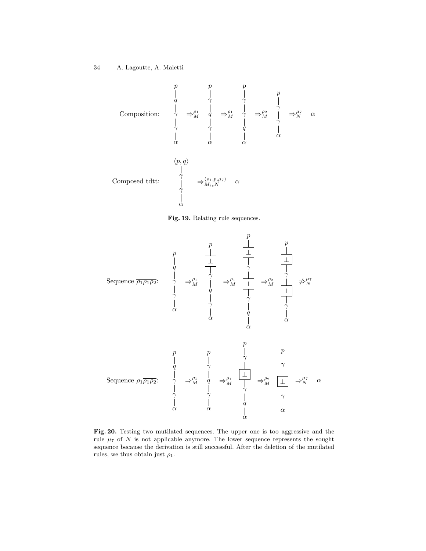

Fig. 19. Relating rule sequences.



Fig. 20. Testing two mutilated sequences. The upper one is too aggressive and the rule  $\mu_7$  of N is not applicable anymore. The lower sequence represents the sought sequence because the derivation is still successful. After the deletion of the mutilated rules, we thus obtain just  $\rho_1$ .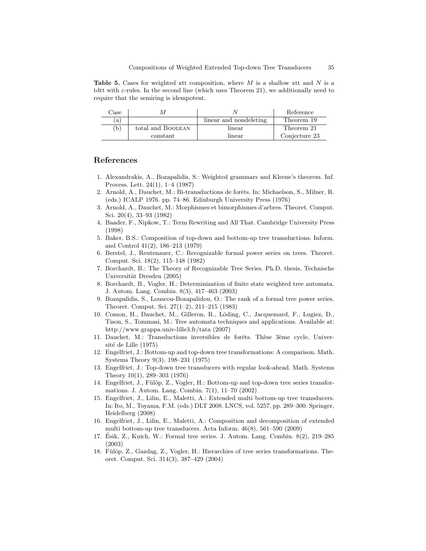**Table 5.** Cases for weighted xtt composition, where  $M$  is a shallow xtt and  $N$  is a tdtt with  $\varepsilon$ -rules. In the second line (which uses Theorem 21), we additionally need to require that the semiring is idempotent.

| Case |                   |                        | Reference     |
|------|-------------------|------------------------|---------------|
| a)   |                   | linear and nondeleting | Theorem 19    |
| b)   | total and BOOLEAN | linear                 | Theorem 21    |
|      | constant          | linear                 | Conjecture 23 |

# References

- 1. Alexandrakis, A., Bozapalidis, S.: Weighted grammars and Kleene's theorem. Inf. Process. Lett. 24(1), 1–4 (1987)
- 2. Arnold, A., Dauchet, M.: Bi-transductions de forˆets. In: Michaelson, S., Milner, R. (eds.) ICALP 1976. pp. 74–86. Edinburgh University Press (1976)
- 3. Arnold, A., Dauchet, M.: Morphismes et bimorphismes d'arbres. Theoret. Comput. Sci. 20(4), 33–93 (1982)
- 4. Baader, F., Nipkow, T.: Term Rewriting and All That. Cambridge University Press (1998)
- 5. Baker, B.S.: Composition of top-down and bottom-up tree transductions. Inform. and Control 41(2), 186–213 (1979)
- 6. Berstel, J., Reutenauer, C.: Recognizable formal power series on trees. Theoret. Comput. Sci. 18(2), 115–148 (1982)
- 7. Borchardt, B.: The Theory of Recognizable Tree Series. Ph.D. thesis, Technische Universität Dresden (2005)
- 8. Borchardt, B., Vogler, H.: Determinization of finite state weighted tree automata. J. Autom. Lang. Combin. 8(3), 417–463 (2003)
- 9. Bozapalidis, S., Louscou-Bozapalidou, O.: The rank of a formal tree power series. Theoret. Comput. Sci. 27(1–2), 211–215 (1983)
- 10. Comon, H., Dauchet, M., Gilleron, R., Löding, C., Jacquemard, F., Lugiez, D., Tison, S., Tommasi, M.: Tree automata techniques and applications. Available at: http://www.grappa.univ-lille3.fr/tata (2007)
- 11. Dauchet, M.: Transductions inversibles de forêts. Thèse 3ème cycle, Université de Lille (1975)
- 12. Engelfriet, J.: Bottom-up and top-down tree transformations: A comparison. Math. Systems Theory 9(3), 198–231 (1975)
- 13. Engelfriet, J.: Top-down tree transducers with regular look-ahead. Math. Systems Theory 10(1), 289–303 (1976)
- 14. Engelfriet, J., Fülöp, Z., Vogler, H.: Bottom-up and top-down tree series transformations. J. Autom. Lang. Combin. 7(1), 11–70 (2002)
- 15. Engelfriet, J., Lilin, E., Maletti, A.: Extended multi bottom-up tree transducers. In: Ito, M., Toyama, F.M. (eds.) DLT 2008. LNCS, vol. 5257, pp. 289–300. Springer, Heidelberg (2008)
- 16. Engelfriet, J., Lilin, E., Maletti, A.: Composition and decomposition of extended multi bottom-up tree transducers. Acta Inform. 46(8), 561–590 (2009)
- 17. Esik, Z., Kuich, W.: Formal tree series. J. Autom. Lang. Combin. 8(2), 219–285 ´ (2003)
- 18. Fülöp, Z., Gazdag, Z., Vogler, H.: Hierarchies of tree series transformations. Theoret. Comput. Sci. 314(3), 387–429 (2004)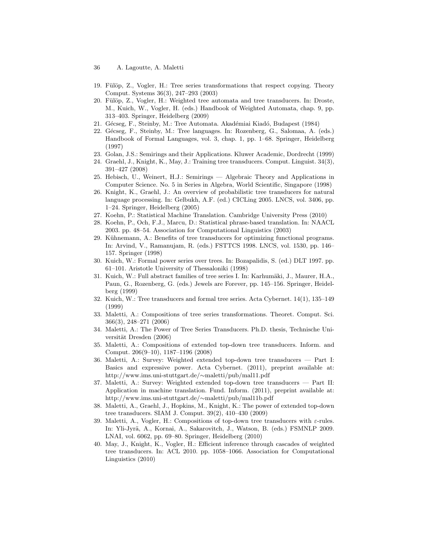- 36 A. Lagoutte, A. Maletti
- 19. Fülöp, Z., Vogler, H.: Tree series transformations that respect copying. Theory Comput. Systems 36(3), 247–293 (2003)
- 20. Fülöp, Z., Vogler, H.: Weighted tree automata and tree transducers. In: Droste, M., Kuich, W., Vogler, H. (eds.) Handbook of Weighted Automata, chap. 9, pp. 313–403. Springer, Heidelberg (2009)
- 21. Gécseg, F., Steinby, M.: Tree Automata. Akadémiai Kiadó, Budapest (1984)
- 22. Gécseg, F., Steinby, M.: Tree languages. In: Rozenberg, G., Salomaa, A. (eds.) Handbook of Formal Languages, vol. 3, chap. 1, pp. 1–68. Springer, Heidelberg (1997)
- 23. Golan, J.S.: Semirings and their Applications. Kluwer Academic, Dordrecht (1999)
- 24. Graehl, J., Knight, K., May, J.: Training tree transducers. Comput. Linguist. 34(3), 391–427 (2008)
- 25. Hebisch, U., Weinert, H.J.: Semirings Algebraic Theory and Applications in Computer Science. No. 5 in Series in Algebra, World Scientific, Singapore (1998)
- 26. Knight, K., Graehl, J.: An overview of probabilistic tree transducers for natural language processing. In: Gelbukh, A.F. (ed.) CICLing 2005. LNCS, vol. 3406, pp. 1–24. Springer, Heidelberg (2005)
- 27. Koehn, P.: Statistical Machine Translation. Cambridge University Press (2010)
- 28. Koehn, P., Och, F.J., Marcu, D.: Statistical phrase-based translation. In: NAACL 2003. pp. 48–54. Association for Computational Linguistics (2003)
- 29. Kühnemann, A.: Benefits of tree transducers for optimizing functional programs. In: Arvind, V., Ramanujam, R. (eds.) FSTTCS 1998. LNCS, vol. 1530, pp. 146– 157. Springer (1998)
- 30. Kuich, W.: Formal power series over trees. In: Bozapalidis, S. (ed.) DLT 1997. pp. 61–101. Aristotle University of Thessaloniki (1998)
- 31. Kuich, W.: Full abstract families of tree series I. In: Karhumäki, J., Maurer, H.A., Paun, G., Rozenberg, G. (eds.) Jewels are Forever, pp. 145–156. Springer, Heidelberg (1999)
- 32. Kuich, W.: Tree transducers and formal tree series. Acta Cybernet. 14(1), 135–149 (1999)
- 33. Maletti, A.: Compositions of tree series transformations. Theoret. Comput. Sci. 366(3), 248–271 (2006)
- 34. Maletti, A.: The Power of Tree Series Transducers. Ph.D. thesis, Technische Universität Dresden (2006)
- 35. Maletti, A.: Compositions of extended top-down tree transducers. Inform. and Comput. 206(9–10), 1187–1196 (2008)
- 36. Maletti, A.: Survey: Weighted extended top-down tree transducers Part I: Basics and expressive power. Acta Cybernet. (2011), preprint available at: http://www.ims.uni-stuttgart.de/∼maletti/pub/mal11.pdf
- 37. Maletti, A.: Survey: Weighted extended top-down tree transducers Part II: Application in machine translation. Fund. Inform. (2011), preprint available at: http://www.ims.uni-stuttgart.de/∼maletti/pub/mal11b.pdf
- 38. Maletti, A., Graehl, J., Hopkins, M., Knight, K.: The power of extended top-down tree transducers. SIAM J. Comput. 39(2), 410–430 (2009)
- 39. Maletti, A., Vogler, H.: Compositions of top-down tree transducers with ε-rules. In: Yli-Jyrä, A., Kornai, A., Sakarovitch, J., Watson, B. (eds.) FSMNLP 2009. LNAI, vol. 6062, pp. 69–80. Springer, Heidelberg (2010)
- 40. May, J., Knight, K., Vogler, H.: Efficient inference through cascades of weighted tree transducers. In: ACL 2010. pp. 1058–1066. Association for Computational Linguistics (2010)